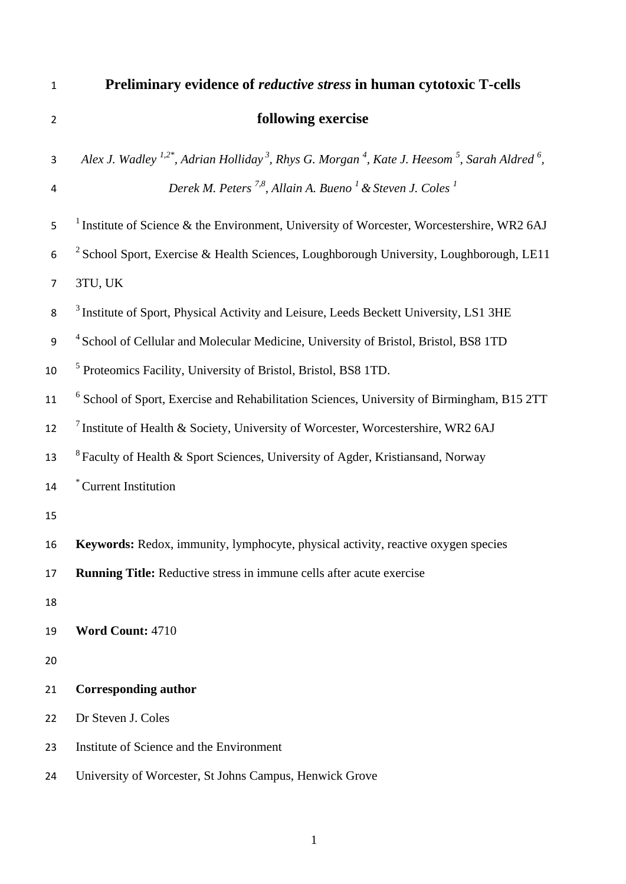**Preliminary evidence of** *reductive stress* **in human cytotoxic T-cells following exercise**  3 *Alex J. Wadley* <sup>1,2\*</sup>, Adrian Holliday<sup>3</sup>, Rhys G. Morgan<sup>4</sup>, Kate J. Heesom<sup>5</sup>, Sarah Aldred<sup>6</sup>, *Derek M. Peters 7,8, Allain A. Bueno <sup>1</sup> & Steven J. Coles <sup>1</sup>* Institute of Science & the Environment, University of Worcester, Worcestershire, WR2 6AJ  $\frac{2}{5}$  School Sport, Exercise & Health Sciences, Loughborough University, Loughborough, LE11 3TU, UK <sup>3</sup> Institute of Sport, Physical Activity and Leisure, Leeds Beckett University, LS1 3HE <sup>4</sup> School of Cellular and Molecular Medicine, University of Bristol, Bristol, BS8 1TD <sup>5</sup> Proteomics Facility, University of Bristol, Bristol, BS8 1TD. <sup>6</sup> School of Sport, Exercise and Rehabilitation Sciences, University of Birmingham, B15 2TT 12 <sup>7</sup> Institute of Health & Society, University of Worcester, Worcestershire, WR2 6AJ 13 <sup>8</sup> Faculty of Health & Sport Sciences, University of Agder, Kristiansand, Norway 14 <sup>\*</sup> Current Institution **Keywords:** Redox, immunity, lymphocyte, physical activity, reactive oxygen species **Running Title:** Reductive stress in immune cells after acute exercise **Word Count:** 4710 **Corresponding author**  Dr Steven J. Coles Institute of Science and the Environment University of Worcester, St Johns Campus, Henwick Grove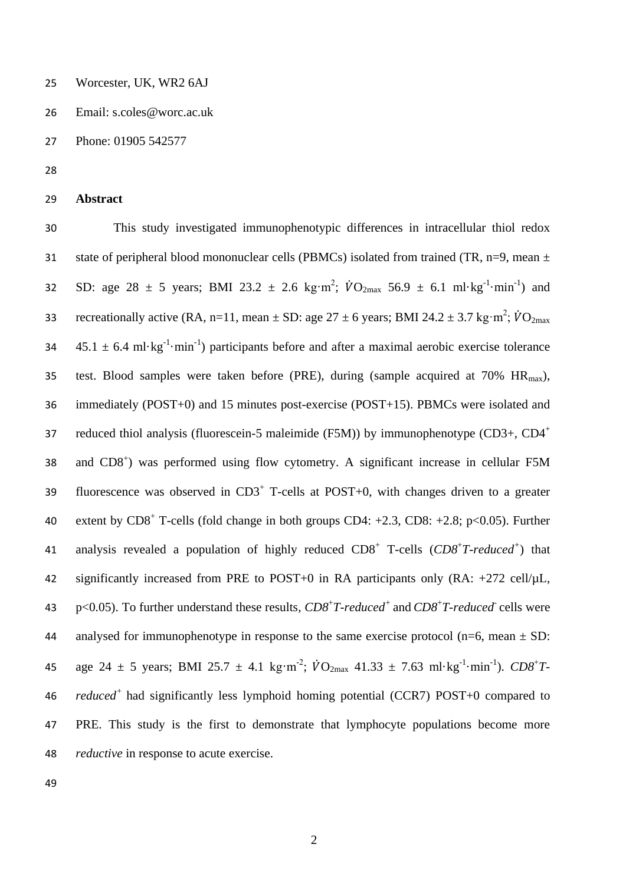- 25 Worcester, UK, WR2 6AJ
- 26 Email: s.coles@worc.ac.uk
- 27 Phone: 01905 542577
- 28
- 29 **Abstract**

30 This study investigated immunophenotypic differences in intracellular thiol redox 31 state of peripheral blood mononuclear cells (PBMCs) isolated from trained (TR, n=9, mean  $\pm$ 32 SD: age 28  $\pm$  5 years; BMI 23.2  $\pm$  2.6 kg·m<sup>2</sup>;  $\dot{V}O_{2\text{max}}$  56.9  $\pm$  6.1 ml·kg<sup>-1</sup>·min<sup>-1</sup>) and 33 recreationally active (RA, n=11, mean  $\pm$  SD: age 27  $\pm$  6 years; BMI 24.2  $\pm$  3.7 kg·m<sup>2</sup>;  $\dot{V}O_{2\text{max}}$  $45.1 \pm 6.4 \text{ ml} \cdot \text{kg}^{-1} \cdot \text{min}^{-1}$  participants before and after a maximal aerobic exercise tolerance 35 test. Blood samples were taken before (PRE), during (sample acquired at 70%  $HR_{max}$ ), 36 immediately (POST+0) and 15 minutes post-exercise (POST+15). PBMCs were isolated and reduced thiol analysis (fluorescein-5 maleimide (F5M)) by immunophenotype (CD3+, CD4<sup>+</sup> 37 38 and CD8<sup>+</sup>) was performed using flow cytometry. A significant increase in cellular F5M 39 fluorescence was observed in  $CD3<sup>+</sup>$  T-cells at POST+0, with changes driven to a greater 40 extent by  $CDS^+$  T-cells (fold change in both groups  $CDA: +2.3$ ,  $CDS: +2.8$ ; p<0.05). Further 41 analysis revealed a population of highly reduced CD8<sup>+</sup> T-cells (CD8<sup>+</sup>T-reduced<sup>+</sup>) that 42 significantly increased from PRE to POST+0 in RA participants only  $(RA: +272 \text{ cell/µL})$ , 43 p<0.05). To further understand these results,  $CD8^+T$ -reduced<sup>+</sup> and  $CD8^+T$ -reduced cells were 44 analysed for immunophenotype in response to the same exercise protocol (n=6, mean  $\pm$  SD: 45 age 24  $\pm$  5 years; BMI 25.7  $\pm$  4.1 kg·m<sup>-2</sup>;  $\dot{V}O_{2\text{max}}$  41.33  $\pm$  7.63 ml·kg<sup>-1</sup>·min<sup>-1</sup>).  $CD8^{\text{+}}T$ *reduced<sup>+</sup>*46 had significantly less lymphoid homing potential (CCR7) POST+0 compared to 47 PRE. This study is the first to demonstrate that lymphocyte populations become more 48 *reductive* in response to acute exercise.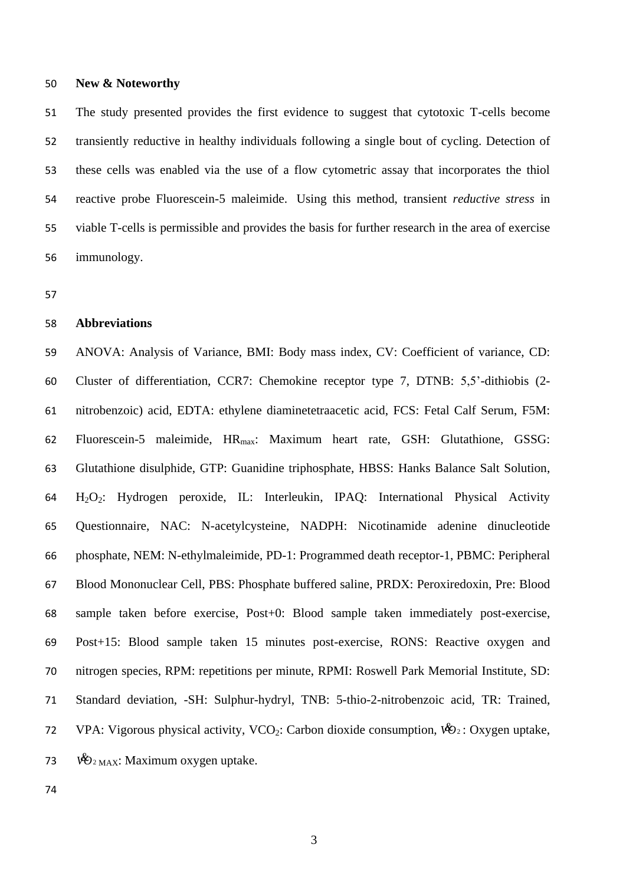## **New & Noteworthy**

 The study presented provides the first evidence to suggest that cytotoxic T-cells become transiently reductive in healthy individuals following a single bout of cycling. Detection of these cells was enabled via the use of a flow cytometric assay that incorporates the thiol reactive probe Fluorescein-5 maleimide. Using this method, transient *reductive stress* in viable T-cells is permissible and provides the basis for further research in the area of exercise immunology.

## **Abbreviations**

 ANOVA: Analysis of Variance, BMI: Body mass index, CV: Coefficient of variance, CD: Cluster of differentiation, CCR7: Chemokine receptor type 7, DTNB: 5,5'-dithiobis (2- nitrobenzoic) acid, EDTA: ethylene diaminetetraacetic acid, FCS: Fetal Calf Serum, F5M: 62 Fluorescein-5 maleimide, HR<sub>max</sub>: Maximum heart rate, GSH: Glutathione, GSSG: Glutathione disulphide, GTP: Guanidine triphosphate, HBSS: Hanks Balance Salt Solution, H2O2: Hydrogen peroxide, IL: Interleukin, IPAQ: International Physical Activity Questionnaire, NAC: N-acetylcysteine, NADPH: Nicotinamide adenine dinucleotide phosphate, NEM: N-ethylmaleimide, PD-1: Programmed death receptor-1, PBMC: Peripheral Blood Mononuclear Cell, PBS: Phosphate buffered saline, PRDX: Peroxiredoxin, Pre: Blood sample taken before exercise, Post+0: Blood sample taken immediately post-exercise, Post+15: Blood sample taken 15 minutes post-exercise, RONS: Reactive oxygen and nitrogen species, RPM: repetitions per minute, RPMI: Roswell Park Memorial Institute, SD: Standard deviation, -SH: Sulphur-hydryl, TNB: 5-thio-2-nitrobenzoic acid, TR: Trained, 72 VPA: Vigorous physical activity, VCO<sub>2</sub>: Carbon dioxide consumption,  $\mathcal{W}_{2}$ : Oxygen uptake,  $\mathcal{W}_{2 \text{ MAX}}$ : Maximum oxygen uptake.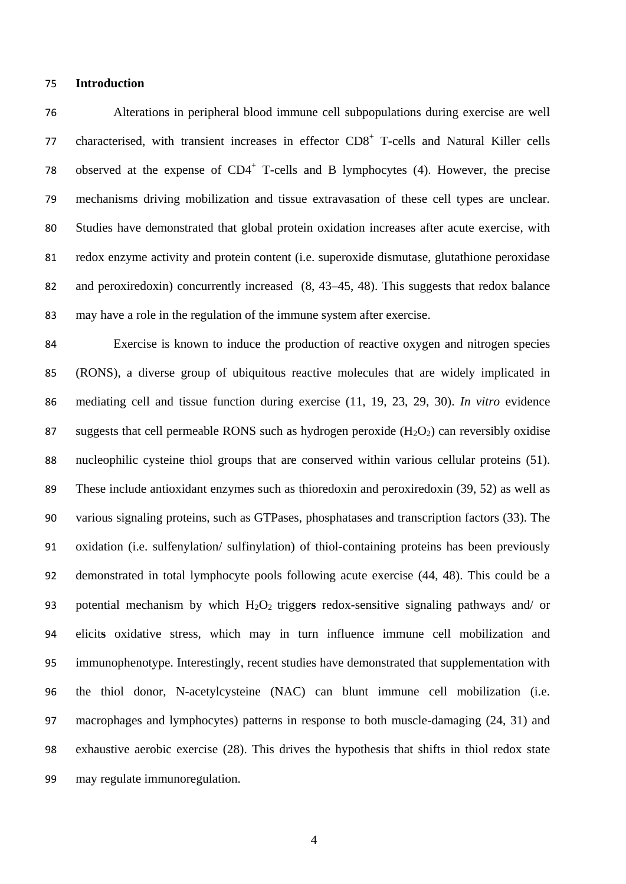## **Introduction**

 Alterations in peripheral blood immune cell subpopulations during exercise are well 77 characterised, with transient increases in effector CD8<sup>+</sup> T-cells and Natural Killer cells 78 observed at the expense of  $CD4^+$  T-cells and B lymphocytes (4). However, the precise mechanisms driving mobilization and tissue extravasation of these cell types are unclear. Studies have demonstrated that global protein oxidation increases after acute exercise, with redox enzyme activity and protein content (i.e. superoxide dismutase, glutathione peroxidase and peroxiredoxin) concurrently increased (8, 43–45, 48). This suggests that redox balance may have a role in the regulation of the immune system after exercise.

 Exercise is known to induce the production of reactive oxygen and nitrogen species (RONS), a diverse group of ubiquitous reactive molecules that are widely implicated in mediating cell and tissue function during exercise (11, 19, 23, 29, 30). *In vitro* evidence 87 suggests that cell permeable RONS such as hydrogen peroxide  $(H_2O_2)$  can reversibly oxidise nucleophilic cysteine thiol groups that are conserved within various cellular proteins (51). These include antioxidant enzymes such as thioredoxin and peroxiredoxin (39, 52) as well as various signaling proteins, such as GTPases, phosphatases and transcription factors (33). The oxidation (i.e. sulfenylation/ sulfinylation) of thiol-containing proteins has been previously demonstrated in total lymphocyte pools following acute exercise (44, 48). This could be a potential mechanism by which H2O2 trigger**s** redox-sensitive signaling pathways and/ or elicit**s** oxidative stress, which may in turn influence immune cell mobilization and immunophenotype. Interestingly, recent studies have demonstrated that supplementation with the thiol donor, N-acetylcysteine (NAC) can blunt immune cell mobilization (i.e. macrophages and lymphocytes) patterns in response to both muscle-damaging (24, 31) and exhaustive aerobic exercise (28). This drives the hypothesis that shifts in thiol redox state may regulate immunoregulation.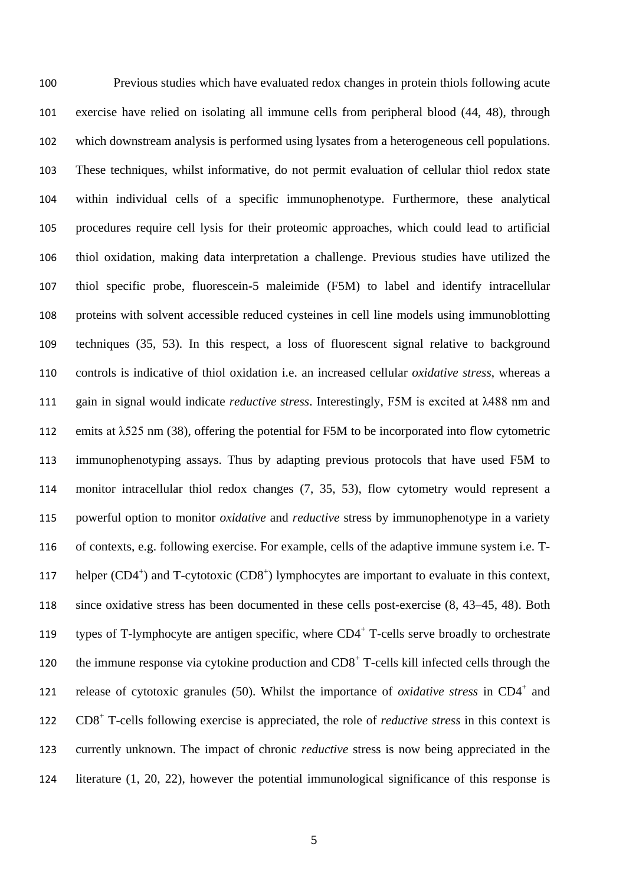Previous studies which have evaluated redox changes in protein thiols following acute exercise have relied on isolating all immune cells from peripheral blood (44, 48), through which downstream analysis is performed using lysates from a heterogeneous cell populations. These techniques, whilst informative, do not permit evaluation of cellular thiol redox state within individual cells of a specific immunophenotype. Furthermore, these analytical procedures require cell lysis for their proteomic approaches, which could lead to artificial thiol oxidation, making data interpretation a challenge. Previous studies have utilized the thiol specific probe, fluorescein-5 maleimide (F5M) to label and identify intracellular proteins with solvent accessible reduced cysteines in cell line models using immunoblotting techniques (35, 53). In this respect, a loss of fluorescent signal relative to background controls is indicative of thiol oxidation i.e. an increased cellular *oxidative stress*, whereas a gain in signal would indicate *reductive stress*. Interestingly, F5M is excited at λ488 nm and emits at λ525 nm (38), offering the potential for F5M to be incorporated into flow cytometric immunophenotyping assays. Thus by adapting previous protocols that have used F5M to monitor intracellular thiol redox changes (7, 35, 53), flow cytometry would represent a powerful option to monitor *oxidative* and *reductive* stress by immunophenotype in a variety of contexts, e.g. following exercise. For example, cells of the adaptive immune system i.e. T-117 helper (CD4<sup>+</sup>) and T-cytotoxic (CD8<sup>+</sup>) lymphocytes are important to evaluate in this context, since oxidative stress has been documented in these cells post-exercise (8, 43–45, 48). Both 119 types of T-lymphocyte are antigen specific, where CD4<sup>+</sup> T-cells serve broadly to orchestrate 120 the immune response via cytokine production and  $CD8<sup>+</sup>$  T-cells kill infected cells through the 121 release of cytotoxic granules (50). Whilst the importance of *oxidative stress* in  $CD4^+$  and 122 CD8<sup>+</sup> T-cells following exercise is appreciated, the role of *reductive stress* in this context is currently unknown. The impact of chronic *reductive* stress is now being appreciated in the literature (1, 20, 22), however the potential immunological significance of this response is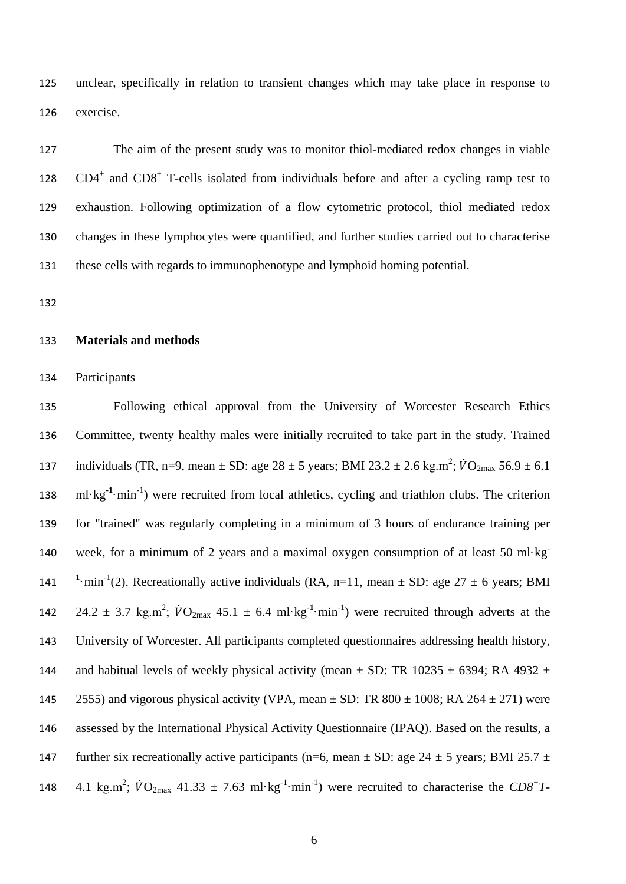unclear, specifically in relation to transient changes which may take place in response to exercise.

 The aim of the present study was to monitor thiol-mediated redox changes in viable 128 CD4<sup>+</sup> and CD8<sup>+</sup> T-cells isolated from individuals before and after a cycling ramp test to exhaustion. Following optimization of a flow cytometric protocol, thiol mediated redox changes in these lymphocytes were quantified, and further studies carried out to characterise these cells with regards to immunophenotype and lymphoid homing potential.

## **Materials and methods**

Participants

 Following ethical approval from the University of Worcester Research Ethics Committee, twenty healthy males were initially recruited to take part in the study. Trained 137 individuals (TR, n=9, mean  $\pm$  SD: age 28  $\pm$  5 years; BMI 23.2  $\pm$  2.6 kg.m<sup>2</sup>;  $\dot{V}O_{2\text{max}}$  56.9  $\pm$  6.1 138 ml·kg<sup>-1</sup>·min<sup>-1</sup>) were recruited from local athletics, cycling and triathlon clubs. The criterion for "trained" was regularly completing in a minimum of 3 hours of endurance training per week, for a minimum of 2 years and a maximal oxygen consumption of at least 50 ml·kg**-** 141 <sup>1</sup>·min<sup>-1</sup>(2). Recreationally active individuals (RA, n=11, mean  $\pm$  SD: age 27  $\pm$  6 years; BMI 142 24.2  $\pm$  3.7 kg.m<sup>2</sup>;  $\dot{V}O_{2\text{max}}$  45.1  $\pm$  6.4 ml·kg<sup>-1</sup>·min<sup>-1</sup>) were recruited through adverts at the University of Worcester. All participants completed questionnaires addressing health history, 144 and habitual levels of weekly physical activity (mean  $\pm$  SD: TR 10235  $\pm$  6394; RA 4932  $\pm$ 145 2555) and vigorous physical activity (VPA, mean  $\pm$  SD: TR 800  $\pm$  1008; RA 264  $\pm$  271) were assessed by the International Physical Activity Questionnaire (IPAQ). Based on the results, a 147 further six recreationally active participants (n=6, mean  $\pm$  SD: age 24  $\pm$  5 years; BMI 25.7  $\pm$ 148 4.1 kg.m<sup>2</sup>;  $\dot{V}O_{2\text{max}}$  41.33  $\pm$  7.63 ml·kg<sup>-1</sup>·min<sup>-1</sup>) were recruited to characterise the  $CD8^+T$ -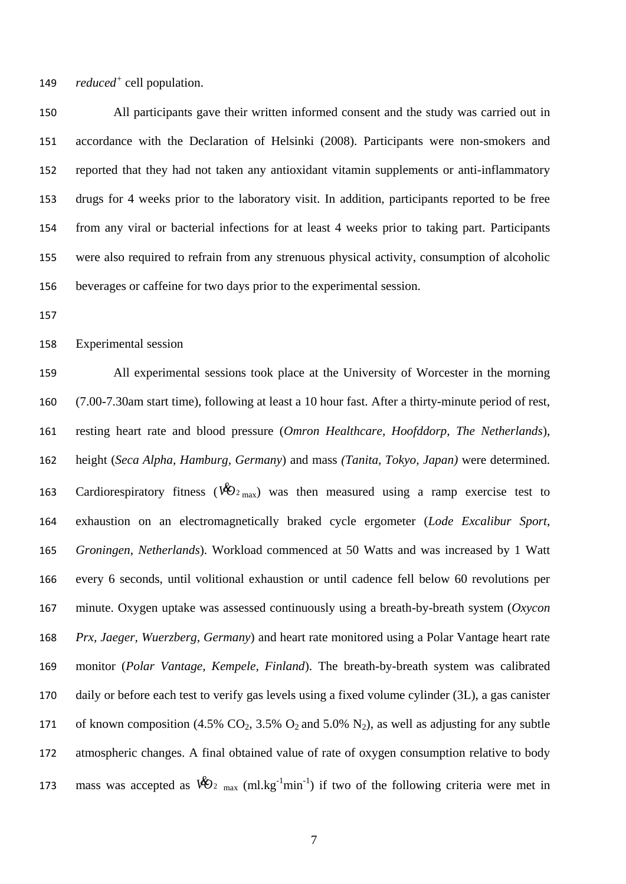149 reduced<sup>+</sup> cell population.

 All participants gave their written informed consent and the study was carried out in accordance with the Declaration of Helsinki (2008). Participants were non-smokers and reported that they had not taken any antioxidant vitamin supplements or anti-inflammatory drugs for 4 weeks prior to the laboratory visit. In addition, participants reported to be free from any viral or bacterial infections for at least 4 weeks prior to taking part. Participants were also required to refrain from any strenuous physical activity, consumption of alcoholic beverages or caffeine for two days prior to the experimental session.

Experimental session

 All experimental sessions took place at the University of Worcester in the morning (7.00-7.30am start time), following at least a 10 hour fast. After a thirty-minute period of rest, resting heart rate and blood pressure (*Omron Healthcare, Hoofddorp, The Netherlands*), height (*Seca Alpha, Hamburg, Germany*) and mass *(Tanita, Tokyo, Japan)* were determined. 163 Cardiorespiratory fitness ( $\mathcal{W}_{2\text{ max}}$ ) was then measured using a ramp exercise test to exhaustion on an electromagnetically braked cycle ergometer (*Lode Excalibur Sport*, *Groningen*, *Netherlands*). Workload commenced at 50 Watts and was increased by 1 Watt every 6 seconds, until volitional exhaustion or until cadence fell below 60 revolutions per minute. Oxygen uptake was assessed continuously using a breath-by-breath system (*Oxycon Prx, Jaeger, Wuerzberg, Germany*) and heart rate monitored using a Polar Vantage heart rate monitor (*Polar Vantage, Kempele, Finland*). The breath-by-breath system was calibrated daily or before each test to verify gas levels using a fixed volume cylinder (3L), a gas canister 171 of known composition (4.5%  $CO_2$ , 3.5%  $O_2$  and 5.0%  $N_2$ ), as well as adjusting for any subtle atmospheric changes. A final obtained value of rate of oxygen consumption relative to body 173 mass was accepted as  $\mathbb{W}_{2 \text{ max}}$  (ml.kg<sup>-1</sup>min<sup>-1</sup>) if two of the following criteria were met in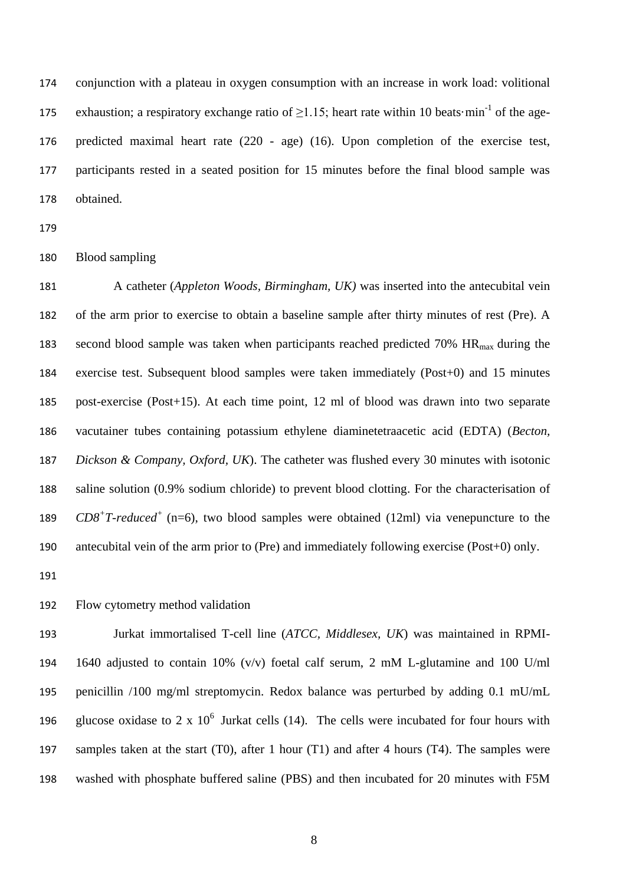conjunction with a plateau in oxygen consumption with an increase in work load: volitional 175 exhaustion; a respiratory exchange ratio of  $\geq$ 1.15; heart rate within 10 beats·min<sup>-1</sup> of the age- predicted maximal heart rate (220 - age) (16). Upon completion of the exercise test, participants rested in a seated position for 15 minutes before the final blood sample was obtained.

## Blood sampling

 A catheter (*Appleton Woods, Birmingham, UK)* was inserted into the antecubital vein of the arm prior to exercise to obtain a baseline sample after thirty minutes of rest (Pre). A 183 second blood sample was taken when participants reached predicted 70%  $HR_{max}$  during the exercise test. Subsequent blood samples were taken immediately (Post+0) and 15 minutes post-exercise (Post+15). At each time point, 12 ml of blood was drawn into two separate vacutainer tubes containing potassium ethylene diaminetetraacetic acid (EDTA) (*Becton, Dickson & Company, Oxford, UK*). The catheter was flushed every 30 minutes with isotonic saline solution (0.9% sodium chloride) to prevent blood clotting. For the characterisation of  $CD8+T-reduced^+$  (n=6), two blood samples were obtained (12ml) via venepuncture to the antecubital vein of the arm prior to (Pre) and immediately following exercise (Post+0) only.

# Flow cytometry method validation

 Jurkat immortalised T-cell line (*ATCC, Middlesex, UK*) was maintained in RPMI- 1640 adjusted to contain 10% (v/v) foetal calf serum, 2 mM L-glutamine and 100 U/ml penicillin /100 mg/ml streptomycin. Redox balance was perturbed by adding 0.1 mU/mL 196 glucose oxidase to 2 x  $10^6$  Jurkat cells (14). The cells were incubated for four hours with samples taken at the start (T0), after 1 hour (T1) and after 4 hours (T4). The samples were washed with phosphate buffered saline (PBS) and then incubated for 20 minutes with F5M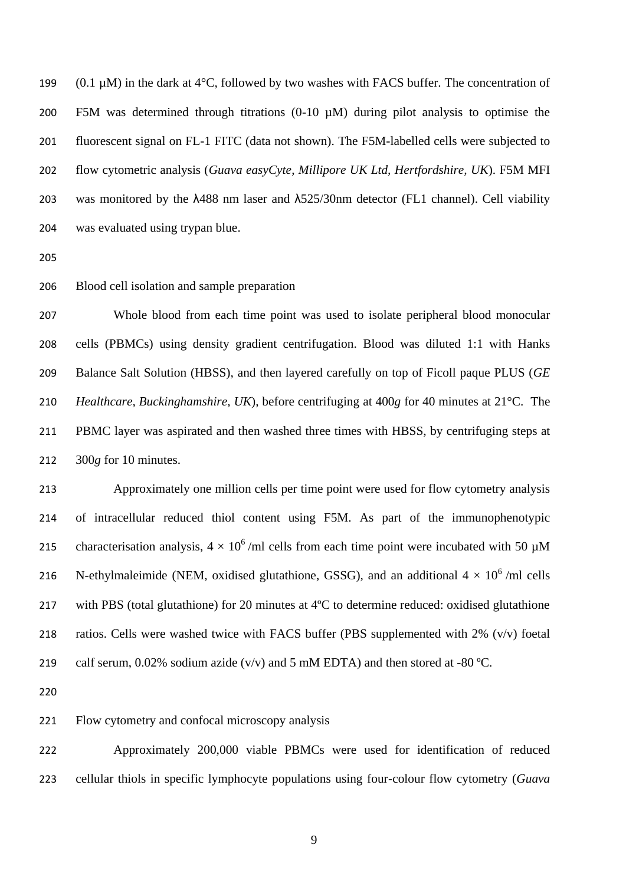199 (0.1  $\mu$ M) in the dark at 4°C, followed by two washes with FACS buffer. The concentration of F5M was determined through titrations (0-10 µM) during pilot analysis to optimise the fluorescent signal on FL-1 FITC (data not shown). The F5M-labelled cells were subjected to flow cytometric analysis (*Guava easyCyte*, *Millipore UK Ltd, Hertfordshire, UK*). F5M MFI was monitored by the λ488 nm laser and λ525/30nm detector (FL1 channel). Cell viability was evaluated using trypan blue.

- 
- Blood cell isolation and sample preparation

 Whole blood from each time point was used to isolate peripheral blood monocular cells (PBMCs) using density gradient centrifugation. Blood was diluted 1:1 with Hanks Balance Salt Solution (HBSS), and then layered carefully on top of Ficoll paque PLUS (*GE Healthcare, Buckinghamshire, UK*), before centrifuging at 400*g* for 40 minutes at 21°C. The PBMC layer was aspirated and then washed three times with HBSS, by centrifuging steps at 300*g* for 10 minutes.

 Approximately one million cells per time point were used for flow cytometry analysis of intracellular reduced thiol content using F5M. As part of the immunophenotypic 215 characterisation analysis,  $4 \times 10^6$ /ml cells from each time point were incubated with 50  $\mu$ M 216 N-ethylmaleimide (NEM, oxidised glutathione, GSSG), and an additional  $4 \times 10^6$  /ml cells with PBS (total glutathione) for 20 minutes at 4ºC to determine reduced: oxidised glutathione ratios. Cells were washed twice with FACS buffer (PBS supplemented with 2% (v/v) foetal 219 calf serum,  $0.02\%$  sodium azide (v/v) and 5 mM EDTA) and then stored at -80 °C.

Flow cytometry and confocal microscopy analysis

 Approximately 200,000 viable PBMCs were used for identification of reduced cellular thiols in specific lymphocyte populations using four-colour flow cytometry (*Guava*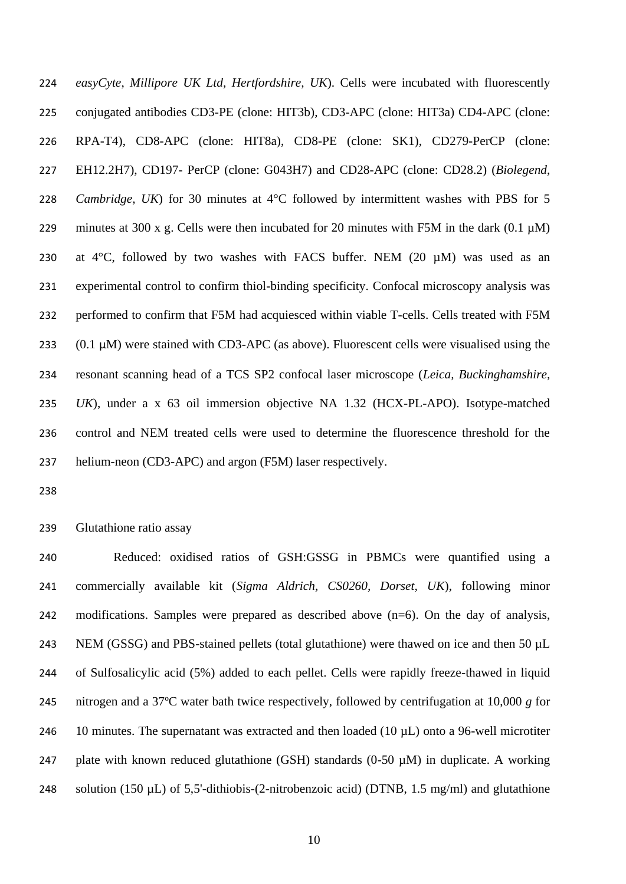*easyCyte*, *Millipore UK Ltd, Hertfordshire, UK*). Cells were incubated with fluorescently conjugated antibodies CD3-PE (clone: HIT3b), CD3-APC (clone: HIT3a) CD4-APC (clone: RPA-T4), CD8-APC (clone: HIT8a), CD8-PE (clone: SK1), CD279-PerCP (clone: EH12.2H7), CD197- PerCP (clone: G043H7) and CD28-APC (clone: CD28.2) (*Biolegend*, *Cambridge, UK*) for 30 minutes at 4°C followed by intermittent washes with PBS for 5 229 minutes at 300 x g. Cells were then incubated for 20 minutes with F5M in the dark  $(0.1 \mu M)$ 230 at  $4^{\circ}$ C, followed by two washes with FACS buffer. NEM (20  $\mu$ M) was used as an experimental control to confirm thiol-binding specificity. Confocal microscopy analysis was performed to confirm that F5M had acquiesced within viable T-cells. Cells treated with F5M  $(0.1 \mu M)$  were stained with CD3-APC (as above). Fluorescent cells were visualised using the resonant scanning head of a TCS SP2 confocal laser microscope (*Leica, Buckinghamshire, UK*), under a x 63 oil immersion objective NA 1.32 (HCX-PL-APO). Isotype-matched control and NEM treated cells were used to determine the fluorescence threshold for the helium-neon (CD3-APC) and argon (F5M) laser respectively.

Glutathione ratio assay

 Reduced: oxidised ratios of GSH:GSSG in PBMCs were quantified using a commercially available kit (*Sigma Aldrich, CS0260, Dorset, UK*), following minor modifications. Samples were prepared as described above (n=6). On the day of analysis, 243 NEM (GSSG) and PBS-stained pellets (total glutathione) were thawed on ice and then 50 µL of Sulfosalicylic acid (5%) added to each pellet. Cells were rapidly freeze-thawed in liquid nitrogen and a 37ºC water bath twice respectively, followed by centrifugation at 10,000 *g* for 246 10 minutes. The supernatant was extracted and then loaded (10  $\mu$ L) onto a 96-well microtiter 247 plate with known reduced glutathione (GSH) standards (0-50  $\mu$ M) in duplicate. A working 248 solution (150  $\mu$ L) of 5,5'-dithiobis-(2-nitrobenzoic acid) (DTNB, 1.5 mg/ml) and glutathione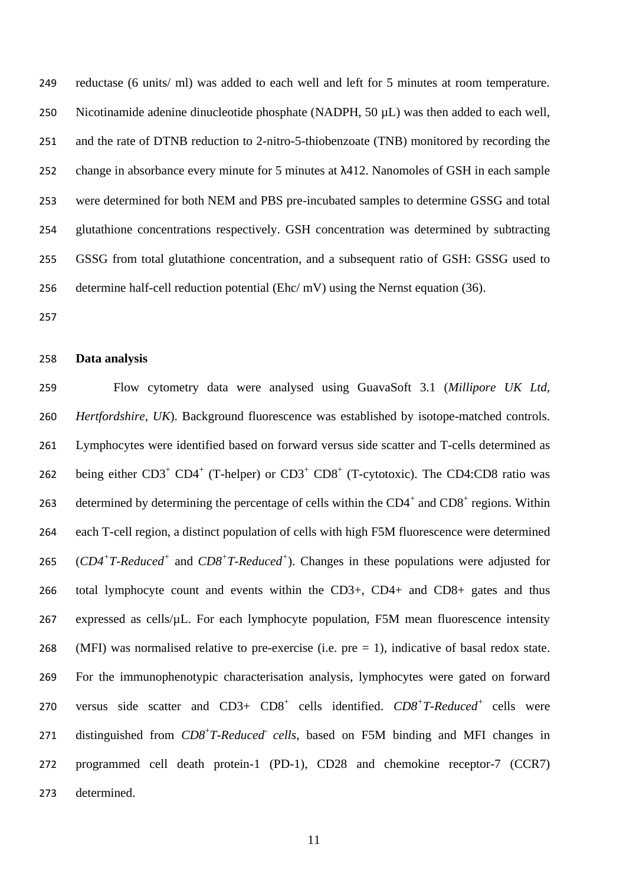reductase (6 units/ ml) was added to each well and left for 5 minutes at room temperature. Nicotinamide adenine dinucleotide phosphate (NADPH, 50 µL) was then added to each well, and the rate of DTNB reduction to 2-nitro-5-thiobenzoate (TNB) monitored by recording the change in absorbance every minute for 5 minutes at λ412. Nanomoles of GSH in each sample were determined for both NEM and PBS pre-incubated samples to determine GSSG and total glutathione concentrations respectively. GSH concentration was determined by subtracting GSSG from total glutathione concentration, and a subsequent ratio of GSH: GSSG used to determine half-cell reduction potential (Ehc/ mV) using the Nernst equation (36).

#### **Data analysis**

 Flow cytometry data were analysed using GuavaSoft 3.1 (*Millipore UK Ltd, Hertfordshire, UK*). Background fluorescence was established by isotope-matched controls. Lymphocytes were identified based on forward versus side scatter and T-cells determined as 262 being either  $CD3^+$   $CD4^+$  (T-helper) or  $CD3^+$   $CD8^+$  (T-cytotoxic). The CD4:CD8 ratio was 263 determined by determining the percentage of cells within the  $CD4^+$  and  $CD8^+$  regions. Within each T-cell region, a distinct population of cells with high F5M fluorescence were determined (*CD4<sup>+</sup> T-Reduced<sup>+</sup>* and *CD8<sup>+</sup> T-Reduced<sup>+</sup>* ). Changes in these populations were adjusted for total lymphocyte count and events within the CD3+, CD4+ and CD8+ gates and thus expressed as cells/µL. For each lymphocyte population, F5M mean fluorescence intensity 268 (MFI) was normalised relative to pre-exercise (i.e.  $pre = 1$ ), indicative of basal redox state. For the immunophenotypic characterisation analysis, lymphocytes were gated on forward 270 versus side scatter and CD3+ CD8<sup>+</sup> cells identified.  $CD8+T-Reduced^+$  cells were 271 distinguished from  $CD8^+T\text{-}Reduced$  cells, based on F5M binding and MFI changes in programmed cell death protein-1 (PD-1), CD28 and chemokine receptor-7 (CCR7) determined.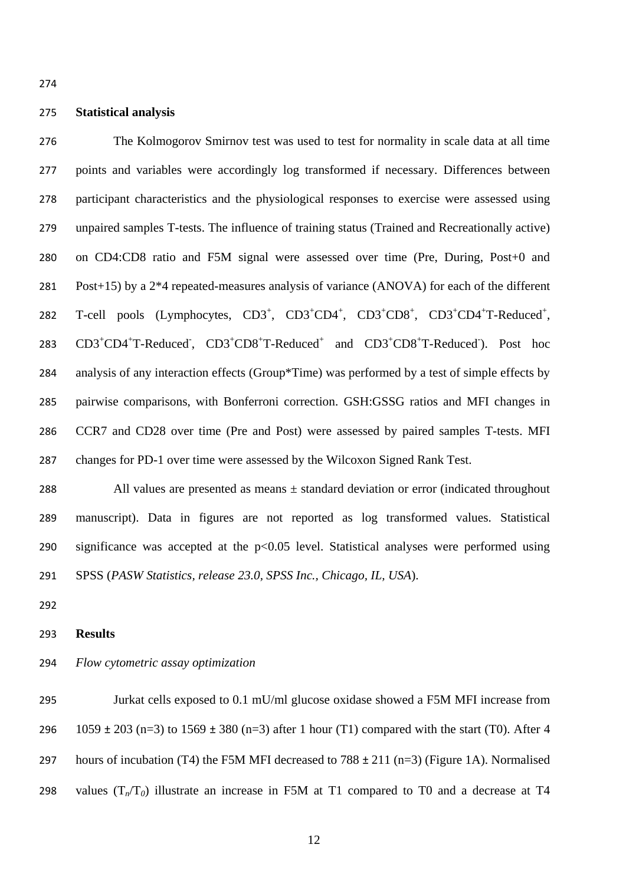## **Statistical analysis**

 The Kolmogorov Smirnov test was used to test for normality in scale data at all time points and variables were accordingly log transformed if necessary. Differences between participant characteristics and the physiological responses to exercise were assessed using unpaired samples T-tests. The influence of training status (Trained and Recreationally active) on CD4:CD8 ratio and F5M signal were assessed over time (Pre, During, Post+0 and Post+15) by a 2\*4 repeated-measures analysis of variance (ANOVA) for each of the different 282 T-cell pools (Lymphocytes, CD3<sup>+</sup>, CD3<sup>+</sup>CD4<sup>+</sup>, CD3<sup>+</sup>CD8<sup>+</sup>, CD3<sup>+</sup>CD4<sup>+</sup>T-Reduced<sup>+</sup>, 283 CD3<sup>+</sup>CD4<sup>+</sup>T-Reduced<sup>-</sup>, CD3<sup>+</sup>CD8<sup>+</sup>T-Reduced<sup>+</sup> and CD3<sup>+</sup>CD8<sup>+</sup>T-Reduced<sup>-</sup>). Post hoc analysis of any interaction effects (Group\*Time) was performed by a test of simple effects by pairwise comparisons, with Bonferroni correction. GSH:GSSG ratios and MFI changes in CCR7 and CD28 over time (Pre and Post) were assessed by paired samples T-tests. MFI changes for PD-1 over time were assessed by the Wilcoxon Signed Rank Test.

288 All values are presented as means  $\pm$  standard deviation or error (indicated throughout manuscript). Data in figures are not reported as log transformed values. Statistical 290 significance was accepted at the  $p<0.05$  level. Statistical analyses were performed using SPSS (*PASW Statistics, release 23.0, SPSS Inc., Chicago, IL, USA*).

#### **Results**

*Flow cytometric assay optimization* 

 Jurkat cells exposed to 0.1 mU/ml glucose oxidase showed a F5M MFI increase from 296 1059  $\pm$  203 (n=3) to 1569  $\pm$  380 (n=3) after 1 hour (T1) compared with the start (T0). After 4 297 hours of incubation (T4) the F5M MFI decreased to  $788 \pm 211$  (n=3) (Figure 1A). Normalised 298 values  $(T_n/T_0)$  illustrate an increase in F5M at T1 compared to T0 and a decrease at T4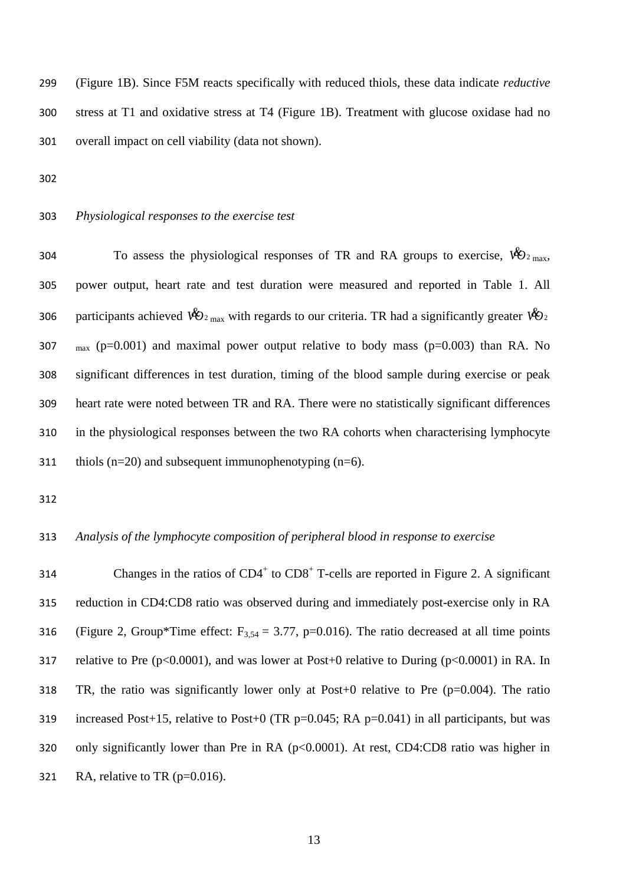299 (Figure 1B). Since F5M reacts specifically with reduced thiols, these data indicate *reductive* 300 stress at T1 and oxidative stress at T4 (Figure 1B). Treatment with glucose oxidase had no 301 overall impact on cell viability (data not shown).

- 302
- 

# 303 *Physiological responses to the exercise test*

304 To assess the physiological responses of TR and RA groups to exercise,  $\mathcal{W}_{2_{\text{max}}}$ , power output, heart rate and test duration were measured and reported in Table 1. All 306 participants achieved  $\mathcal{W}_{2_{\text{max}}}$  with regards to our criteria. TR had a significantly greater  $\mathcal{W}_{2}$  $\mu_{\text{max}}$  (p=0.001) and maximal power output relative to body mass (p=0.003) than RA. No significant differences in test duration, timing of the blood sample during exercise or peak heart rate were noted between TR and RA. There were no statistically significant differences in the physiological responses between the two RA cohorts when characterising lymphocyte 311 thiols  $(n=20)$  and subsequent immunophenotyping  $(n=6)$ .

312

# 313 *Analysis of the lymphocyte composition of peripheral blood in response to exercise*

314 Changes in the ratios of  $CD4^+$  to  $CD8^+$  T-cells are reported in Figure 2. A significant 315 reduction in CD4:CD8 ratio was observed during and immediately post-exercise only in RA 316 (Figure 2, Group\*Time effect:  $F_{3,54} = 3.77$ , p=0.016). The ratio decreased at all time points 317 relative to Pre  $(p<0.0001)$ , and was lower at Post+0 relative to During  $(p<0.0001)$  in RA. In 318 TR, the ratio was significantly lower only at Post+0 relative to Pre  $(p=0.004)$ . The ratio 319 increased Post+15, relative to Post+0 (TR  $p=0.045$ ; RA  $p=0.041$ ) in all participants, but was 320 only significantly lower than Pre in RA (p<0.0001). At rest, CD4:CD8 ratio was higher in 321 RA, relative to TR  $(p=0.016)$ .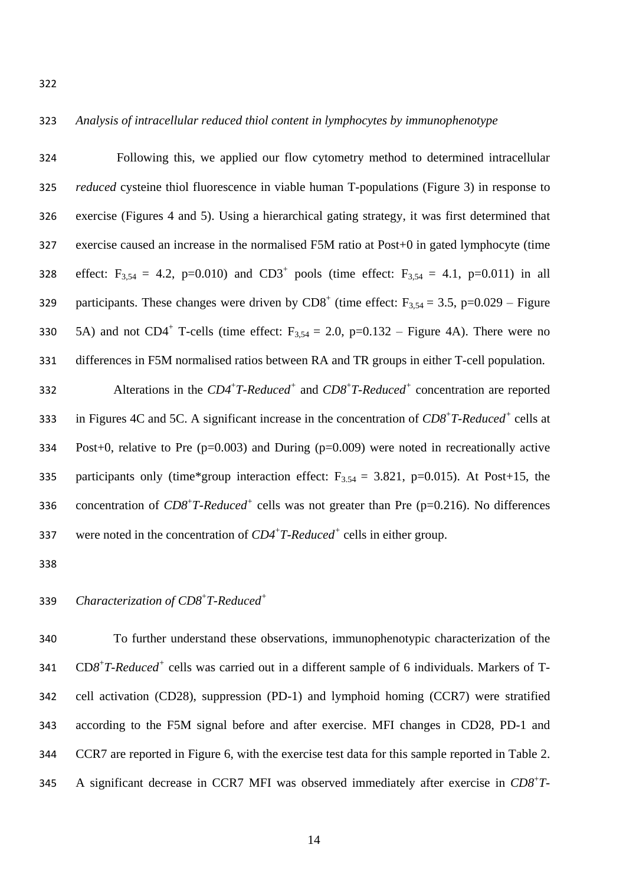## *Analysis of intracellular reduced thiol content in lymphocytes by immunophenotype*

 Following this, we applied our flow cytometry method to determined intracellular *reduced* cysteine thiol fluorescence in viable human T-populations (Figure 3) in response to exercise (Figures 4 and 5). Using a hierarchical gating strategy, it was first determined that exercise caused an increase in the normalised F5M ratio at Post+0 in gated lymphocyte (time 328 effect:  $F_{3,54} = 4.2$ , p=0.010) and CD3<sup>+</sup> pools (time effect:  $F_{3,54} = 4.1$ , p=0.011) in all 329 participants. These changes were driven by  $CDS<sup>+</sup>$  (time effect: F<sub>3,54</sub> = 3.5, p=0.029 – Figure 330 5A) and not CD4<sup>+</sup> T-cells (time effect:  $F_{3,54} = 2.0$ , p=0.132 – Figure 4A). There were no differences in F5M normalised ratios between RA and TR groups in either T-cell population. Alterations in the *CD4*<sup>+</sup> *T-Reduced<sup>+</sup>* and *CD8*<sup>+</sup> *T-Reduced<sup>+</sup>* concentration are reported 333 in Figures 4C and 5C. A significant increase in the concentration of  $CD8<sup>+</sup>T-Reduced<sup>+</sup>$  cells at

 Post+0, relative to Pre (p=0.003) and During (p=0.009) were noted in recreationally active 335 participants only (time\*group interaction effect:  $F_{3,54} = 3.821$ , p=0.015). At Post+15, the 336 concentration of  $CD8^+T\text{-}Reduced^+$  cells was not greater than Pre (p=0.216). No differences 337 were noted in the concentration of  $CD4+T$ -Reduced<sup>+</sup> cells in either group.

#### *Characterization of CD8*<sup>+</sup> *T-Reduced<sup>+</sup>*

 To further understand these observations, immunophenotypic characterization of the 341 CD8<sup>+</sup>T-Reduced<sup>+</sup> cells was carried out in a different sample of 6 individuals. Markers of T- cell activation (CD28), suppression (PD-1) and lymphoid homing (CCR7) were stratified according to the F5M signal before and after exercise. MFI changes in CD28, PD-1 and CCR7 are reported in Figure 6, with the exercise test data for this sample reported in Table 2. A significant decrease in CCR7 MFI was observed immediately after exercise in *CD8*<sup>+</sup> *T-*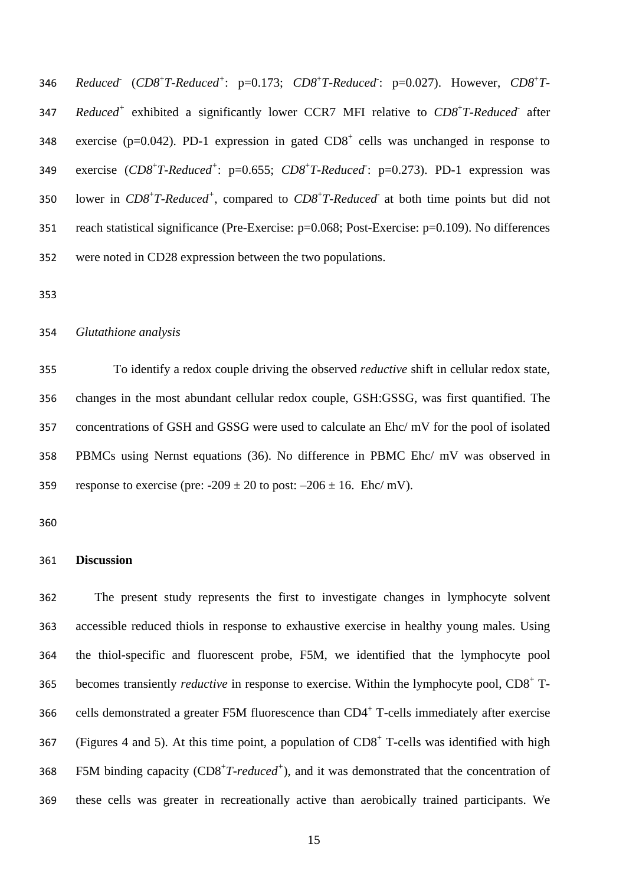346 *Reduced* (*CD8<sup>+</sup>T-Reduced<sup>+</sup>: p=0.173; <i>CD8<sup>+</sup>T-Reduced: p=0.027*). However, *CD8<sup>+</sup>T-*347 Reduced<sup>+</sup> exhibited a significantly lower CCR7 MFI relative to CD8<sup>+</sup>T-Reduced after 348 exercise ( $p=0.042$ ). PD-1 expression in gated  $CD8<sup>+</sup>$  cells was unchanged in response to exercise (*CD8*<sup>+</sup> *T-Reduced<sup>+</sup>* : p=0.655; *CD8*<sup>+</sup> *T-Reduced-* : p=0.273). PD-1 expression was lower in *CD8*<sup>+</sup> *T-Reduced<sup>+</sup>* , compared to *CD8*<sup>+</sup> *T-Reduced-* at both time points but did not reach statistical significance (Pre-Exercise: p=0.068; Post-Exercise: p=0.109). No differences were noted in CD28 expression between the two populations.

## *Glutathione analysis*

 To identify a redox couple driving the observed *reductive* shift in cellular redox state, changes in the most abundant cellular redox couple, GSH:GSSG, was first quantified. The concentrations of GSH and GSSG were used to calculate an Ehc/ mV for the pool of isolated PBMCs using Nernst equations (36). No difference in PBMC Ehc/ mV was observed in 359 response to exercise (pre:  $-209 \pm 20$  to post:  $-206 \pm 16$ . Ehc/ mV).

## **Discussion**

 The present study represents the first to investigate changes in lymphocyte solvent accessible reduced thiols in response to exhaustive exercise in healthy young males. Using the thiol-specific and fluorescent probe, F5M, we identified that the lymphocyte pool 365 becomes transiently *reductive* in response to exercise. Within the lymphocyte pool, CD8<sup>+</sup> T-366 cells demonstrated a greater F5M fluorescence than  $CD4^+$  T-cells immediately after exercise 367 (Figures 4 and 5). At this time point, a population of  $CD8<sup>+</sup>$  T-cells was identified with high 368 F5M binding capacity (CD8<sup>+</sup>T-reduced<sup>+</sup>), and it was demonstrated that the concentration of these cells was greater in recreationally active than aerobically trained participants. We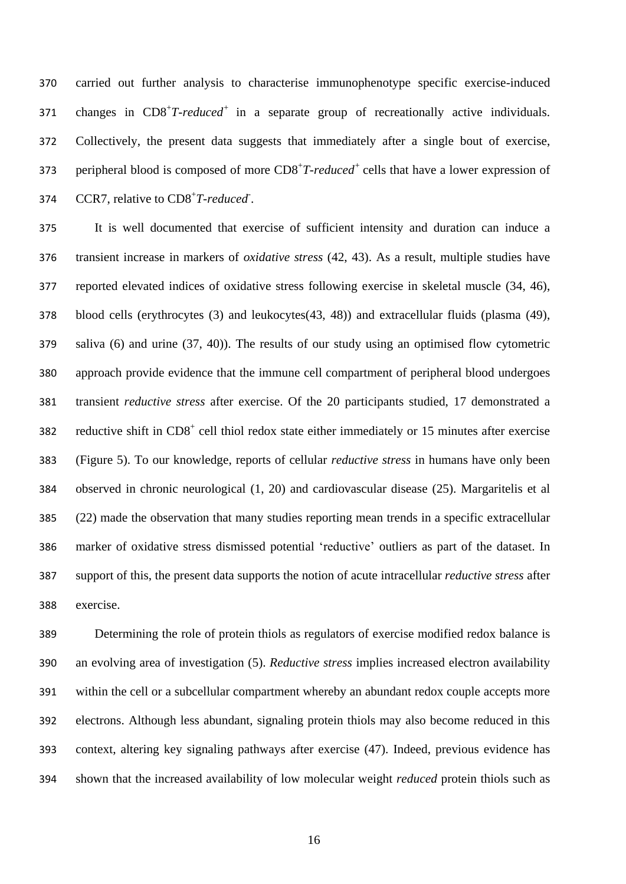carried out further analysis to characterise immunophenotype specific exercise-induced 371 changes in CD8<sup>+</sup>T-reduced<sup>+</sup> in a separate group of recreationally active individuals. Collectively, the present data suggests that immediately after a single bout of exercise, 373 peripheral blood is composed of more CD8<sup>+</sup>T-reduced<sup>+</sup> cells that have a lower expression of 374 CCR7, relative to CD8<sup>+</sup>T-reduced<sup>-</sup>.

 It is well documented that exercise of sufficient intensity and duration can induce a transient increase in markers of *oxidative stress* (42, 43). As a result, multiple studies have reported elevated indices of oxidative stress following exercise in skeletal muscle (34, 46), blood cells (erythrocytes (3) and leukocytes(43, 48)) and extracellular fluids (plasma (49), saliva (6) and urine (37, 40)). The results of our study using an optimised flow cytometric approach provide evidence that the immune cell compartment of peripheral blood undergoes transient *reductive stress* after exercise. Of the 20 participants studied, 17 demonstrated a 382 reductive shift in  $CD8<sup>+</sup>$  cell thiol redox state either immediately or 15 minutes after exercise (Figure 5). To our knowledge, reports of cellular *reductive stress* in humans have only been observed in chronic neurological (1, 20) and cardiovascular disease (25). Margaritelis et al (22) made the observation that many studies reporting mean trends in a specific extracellular marker of oxidative stress dismissed potential 'reductive' outliers as part of the dataset. In support of this, the present data supports the notion of acute intracellular *reductive stress* after exercise.

 Determining the role of protein thiols as regulators of exercise modified redox balance is an evolving area of investigation (5). *Reductive stress* implies increased electron availability within the cell or a subcellular compartment whereby an abundant redox couple accepts more electrons. Although less abundant, signaling protein thiols may also become reduced in this context, altering key signaling pathways after exercise (47). Indeed, previous evidence has shown that the increased availability of low molecular weight *reduced* protein thiols such as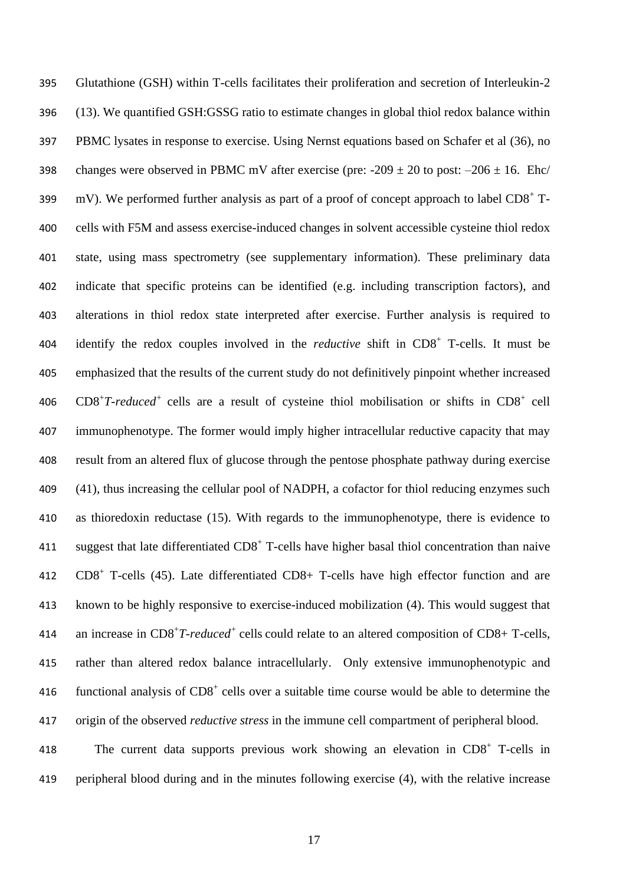Glutathione (GSH) within T-cells facilitates their proliferation and secretion of Interleukin-2 (13). We quantified GSH:GSSG ratio to estimate changes in global thiol redox balance within PBMC lysates in response to exercise. Using Nernst equations based on Schafer et al (36), no 398 changes were observed in PBMC mV after exercise (pre:  $-209 \pm 20$  to post:  $-206 \pm 16$ . Ehc/ 399 mV). We performed further analysis as part of a proof of concept approach to label  $CD8^+$  T- cells with F5M and assess exercise-induced changes in solvent accessible cysteine thiol redox state, using mass spectrometry (see supplementary information). These preliminary data indicate that specific proteins can be identified (e.g. including transcription factors), and alterations in thiol redox state interpreted after exercise. Further analysis is required to 404 identify the redox couples involved in the *reductive* shift in CD8<sup>+</sup> T-cells. It must be emphasized that the results of the current study do not definitively pinpoint whether increased  $CDS^+T\text{-}reduced^+$  cells are a result of cysteine thiol mobilisation or shifts in  $CDS^+$  cell immunophenotype. The former would imply higher intracellular reductive capacity that may result from an altered flux of glucose through the pentose phosphate pathway during exercise (41), thus increasing the cellular pool of NADPH, a cofactor for thiol reducing enzymes such as thioredoxin reductase (15). With regards to the immunophenotype, there is evidence to 411 suggest that late differentiated  $CD8<sup>+</sup>$  T-cells have higher basal thiol concentration than naive 412 CD8<sup>+</sup> T-cells (45). Late differentiated CD8+ T-cells have high effector function and are known to be highly responsive to exercise-induced mobilization (4). This would suggest that 414 an increase in CD8<sup>+</sup>T-reduced<sup>+</sup> cells could relate to an altered composition of CD8+ T-cells, rather than altered redox balance intracellularly. Only extensive immunophenotypic and 416 functional analysis of  $CD8<sup>+</sup>$  cells over a suitable time course would be able to determine the origin of the observed *reductive stress* in the immune cell compartment of peripheral blood. 418 The current data supports previous work showing an elevation in CD8<sup>+</sup> T-cells in

peripheral blood during and in the minutes following exercise (4), with the relative increase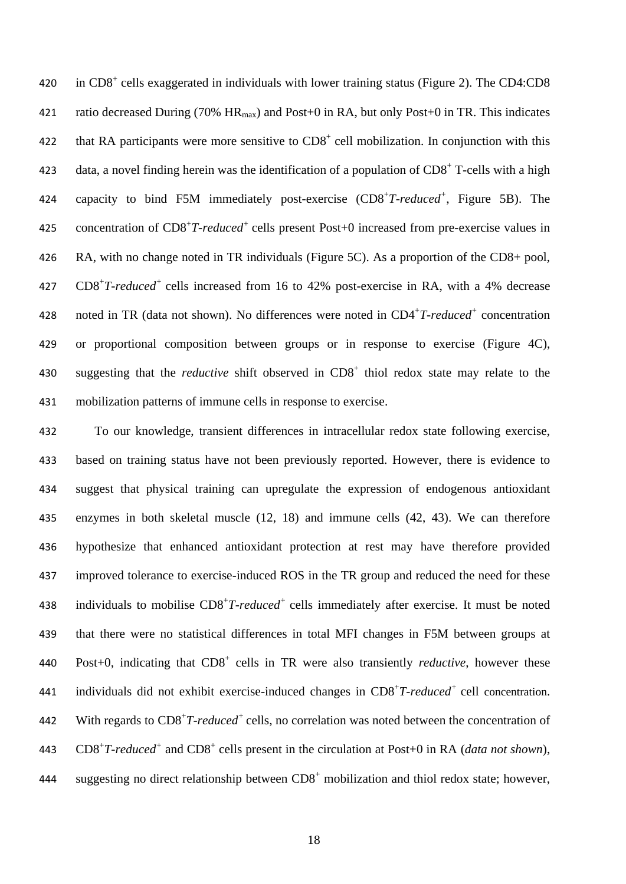420 in CD8<sup>+</sup> cells exaggerated in individuals with lower training status (Figure 2). The CD4:CD8 421 ratio decreased During (70%  $HR_{max}$ ) and Post+0 in RA, but only Post+0 in TR. This indicates 422 that RA participants were more sensitive to  $CD8<sup>+</sup>$  cell mobilization. In conjunction with this 423 data, a novel finding herein was the identification of a population of  $CD8<sup>+</sup>$  T-cells with a high 424 capacity to bind F5M immediately post-exercise (CD8<sup>+</sup>T-reduced<sup>+</sup>, Figure 5B). The 425 concentration of CD8<sup>+</sup>T-reduced<sup>+</sup> cells present Post+0 increased from pre-exercise values in 426 RA, with no change noted in TR individuals (Figure 5C). As a proportion of the CD8+ pool, 427 CD8<sup>+</sup>T-reduced<sup>+</sup> cells increased from 16 to 42% post-exercise in RA, with a 4% decrease 428 noted in TR (data not shown). No differences were noted in CD4<sup>+</sup>T-reduced<sup>+</sup> concentration 429 or proportional composition between groups or in response to exercise (Figure 4C), 430 suggesting that the *reductive* shift observed in CD8<sup>+</sup> thiol redox state may relate to the 431 mobilization patterns of immune cells in response to exercise.

432 To our knowledge, transient differences in intracellular redox state following exercise, 433 based on training status have not been previously reported. However, there is evidence to 434 suggest that physical training can upregulate the expression of endogenous antioxidant 435 enzymes in both skeletal muscle (12, 18) and immune cells (42, 43). We can therefore 436 hypothesize that enhanced antioxidant protection at rest may have therefore provided 437 improved tolerance to exercise-induced ROS in the TR group and reduced the need for these 438 individuals to mobilise CD8<sup>+</sup>T-reduced<sup>+</sup> cells immediately after exercise. It must be noted 439 that there were no statistical differences in total MFI changes in F5M between groups at 440 Post+0, indicating that CD8<sup>+</sup> cells in TR were also transiently *reductive*, however these 441 individuals did not exhibit exercise-induced changes in CD8<sup>+</sup>T-reduced<sup>+</sup> cell concentration. 442 With regards to CD8<sup>+</sup>T-reduced<sup>+</sup> cells, no correlation was noted between the concentration of 443 CD8<sup>+</sup>T-reduced<sup>+</sup> and CD8<sup>+</sup> cells present in the circulation at Post+0 in RA (*data not shown*), 444 suggesting no direct relationship between  $CD8<sup>+</sup>$  mobilization and thiol redox state; however,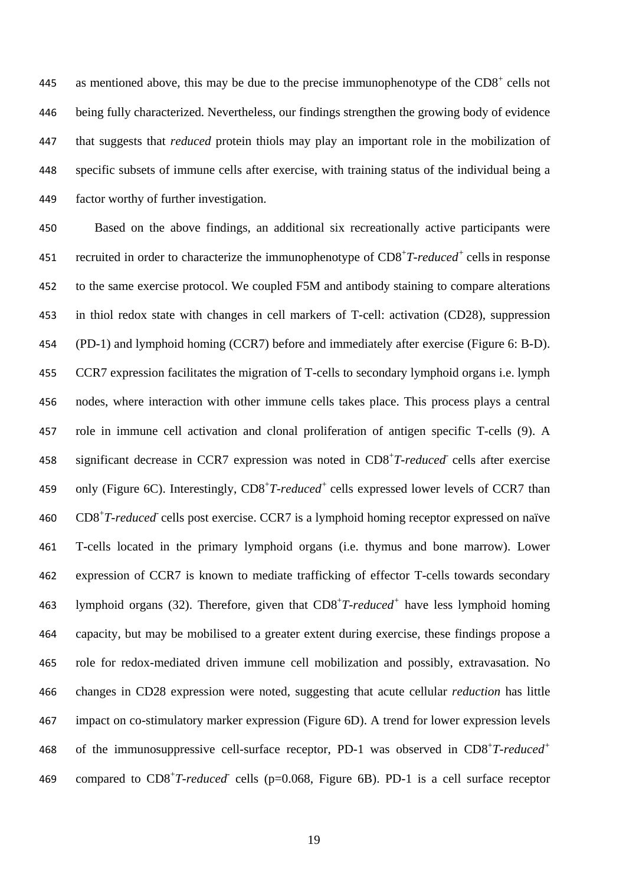445 as mentioned above, this may be due to the precise immunophenotype of the  $CD8<sup>+</sup>$  cells not being fully characterized. Nevertheless, our findings strengthen the growing body of evidence that suggests that *reduced* protein thiols may play an important role in the mobilization of specific subsets of immune cells after exercise, with training status of the individual being a factor worthy of further investigation.

 Based on the above findings*,* an additional six recreationally active participants were 451 recruited in order to characterize the immunophenotype of CD8<sup>+</sup>T-reduced<sup>+</sup> cells in response to the same exercise protocol. We coupled F5M and antibody staining to compare alterations in thiol redox state with changes in cell markers of T-cell: activation (CD28), suppression (PD-1) and lymphoid homing (CCR7) before and immediately after exercise (Figure 6: B-D). CCR7 expression facilitates the migration of T-cells to secondary lymphoid organs i.e. lymph nodes, where interaction with other immune cells takes place. This process plays a central role in immune cell activation and clonal proliferation of antigen specific T-cells (9). A 458 significant decrease in CCR7 expression was noted in CD8<sup>+</sup>T-reduced cells after exercise 459 only (Figure 6C). Interestingly, CD8<sup>+</sup>T-reduced<sup>+</sup> cells expressed lower levels of CCR7 than 460 CD8<sup>+</sup>T-reduced<sup>-</sup> cells post exercise. CCR7 is a lymphoid homing receptor expressed on naïve T-cells located in the primary lymphoid organs (i.e. thymus and bone marrow). Lower expression of CCR7 is known to mediate trafficking of effector T-cells towards secondary 463 lymphoid organs (32). Therefore, given that CD8<sup>+</sup>T-reduced<sup>+</sup> have less lymphoid homing capacity, but may be mobilised to a greater extent during exercise, these findings propose a role for redox-mediated driven immune cell mobilization and possibly, extravasation. No changes in CD28 expression were noted, suggesting that acute cellular *reduction* has little impact on co-stimulatory marker expression (Figure 6D). A trend for lower expression levels of the immunosuppressive cell-surface receptor, PD-1 was observed in CD8<sup>+</sup> *T-reduced<sup>+</sup>* 469 compared to CD8<sup>+</sup>T-reduced cells (p=0.068, Figure 6B). PD-1 is a cell surface receptor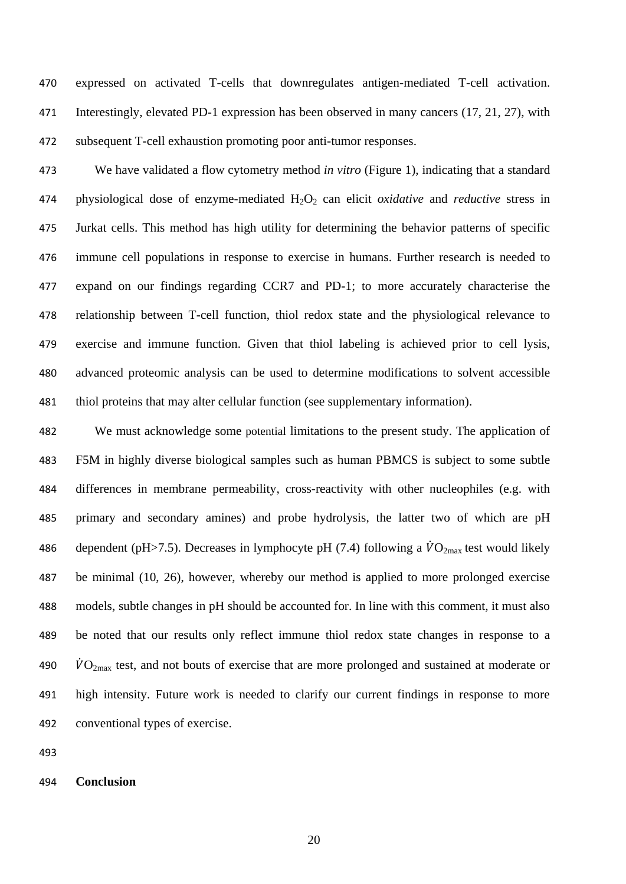expressed on activated T-cells that downregulates antigen-mediated T-cell activation. Interestingly, elevated PD-1 expression has been observed in many cancers (17, 21, 27), with subsequent T-cell exhaustion promoting poor anti-tumor responses.

 We have validated a flow cytometry method *in vitro* (Figure 1), indicating that a standard physiological dose of enzyme-mediated H2O<sup>2</sup> can elicit *oxidative* and *reductive* stress in Jurkat cells. This method has high utility for determining the behavior patterns of specific immune cell populations in response to exercise in humans. Further research is needed to expand on our findings regarding CCR7 and PD-1; to more accurately characterise the relationship between T-cell function, thiol redox state and the physiological relevance to exercise and immune function. Given that thiol labeling is achieved prior to cell lysis, advanced proteomic analysis can be used to determine modifications to solvent accessible thiol proteins that may alter cellular function (see supplementary information).

 We must acknowledge some potential limitations to the present study. The application of F5M in highly diverse biological samples such as human PBMCS is subject to some subtle differences in membrane permeability, cross-reactivity with other nucleophiles (e.g. with primary and secondary amines) and probe hydrolysis, the latter two of which are pH 486 dependent (pH $>7.5$ ). Decreases in lymphocyte pH (7.4) following a  $\dot{V}O_{2\text{max}}$  test would likely be minimal (10, 26), however, whereby our method is applied to more prolonged exercise models, subtle changes in pH should be accounted for. In line with this comment, it must also be noted that our results only reflect immune thiol redox state changes in response to a  $\dot{V}O_{2\text{max}}$  test, and not bouts of exercise that are more prolonged and sustained at moderate or high intensity. Future work is needed to clarify our current findings in response to more conventional types of exercise.

## **Conclusion**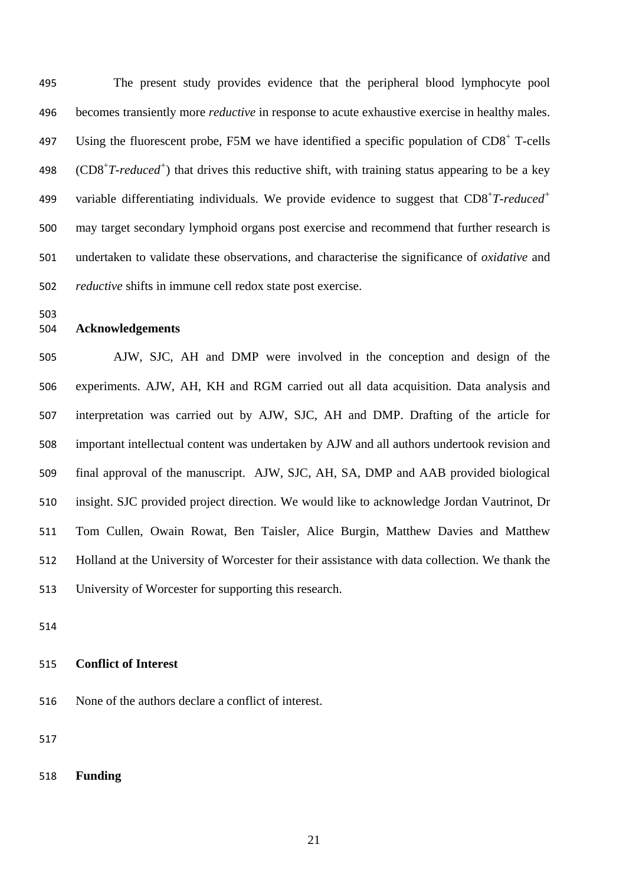The present study provides evidence that the peripheral blood lymphocyte pool becomes transiently more *reductive* in response to acute exhaustive exercise in healthy males. 497 Using the fluorescent probe, F5M we have identified a specific population of  $CD8<sup>+</sup>$  T-cells 498 (CD8<sup>+</sup>T-reduced<sup>+</sup>) that drives this reductive shift, with training status appearing to be a key variable differentiating individuals. We provide evidence to suggest that CD8<sup>+</sup>T-reduced<sup>+</sup> may target secondary lymphoid organs post exercise and recommend that further research is undertaken to validate these observations, and characterise the significance of *oxidative* and *reductive* shifts in immune cell redox state post exercise.

## **Acknowledgements**

 AJW, SJC, AH and DMP were involved in the conception and design of the experiments. AJW, AH, KH and RGM carried out all data acquisition. Data analysis and interpretation was carried out by AJW, SJC, AH and DMP. Drafting of the article for important intellectual content was undertaken by AJW and all authors undertook revision and final approval of the manuscript. AJW, SJC, AH, SA, DMP and AAB provided biological insight. SJC provided project direction. We would like to acknowledge Jordan Vautrinot, Dr Tom Cullen, Owain Rowat, Ben Taisler, Alice Burgin, Matthew Davies and Matthew Holland at the University of Worcester for their assistance with data collection. We thank the University of Worcester for supporting this research.

# **Conflict of Interest**

None of the authors declare a conflict of interest.

**Funding**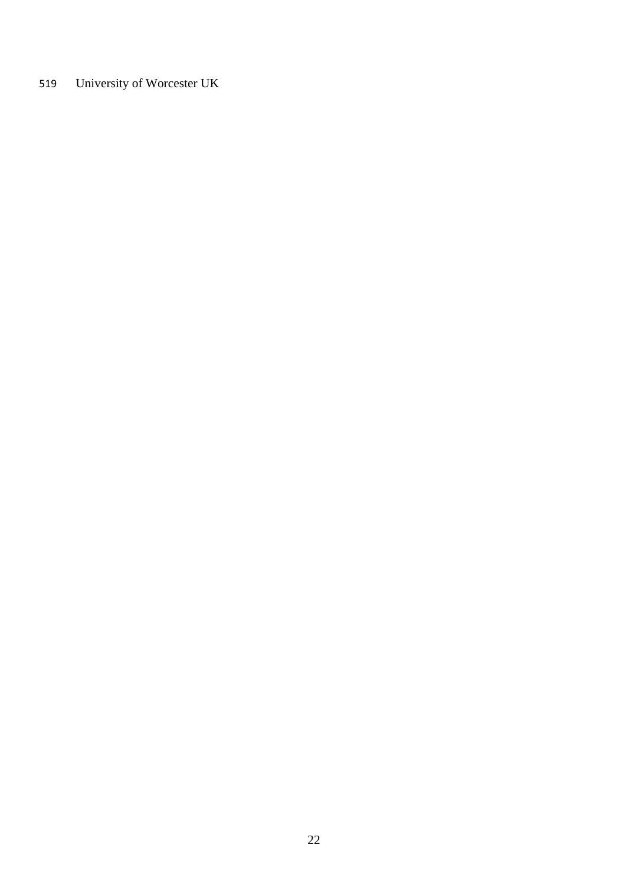University of Worcester UK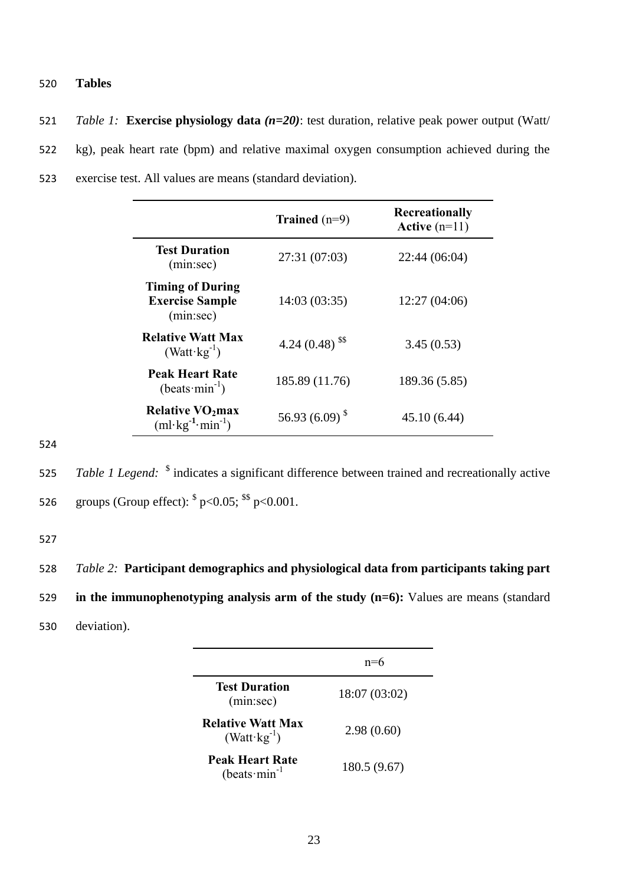# 520 **Tables**

521 *Table 1:* **Exercise physiology data** *(n=20)*: test duration, relative peak power output (Watt/ 522 kg), peak heart rate (bpm) and relative maximal oxygen consumption achieved during the 523 exercise test. All values are means (standard deviation).

|                                                                          | Trained $(n=9)$               | Recreationally<br>Active $(n=11)$ |
|--------------------------------------------------------------------------|-------------------------------|-----------------------------------|
| <b>Test Duration</b><br>(min:sec)                                        | 27:31 (07:03)                 | 22:44 (06:04)                     |
| <b>Timing of During</b><br><b>Exercise Sample</b><br>(min:sec)           | 14:03 (03:35)                 | 12:27(04:06)                      |
| <b>Relative Watt Max</b><br>$(Watt \cdot kg^{-1})$                       | 4.24 $(0.48)$ <sup>\$\$</sup> | 3.45(0.53)                        |
| <b>Peak Heart Rate</b><br>$(beats·min-1)$                                | 185.89 (11.76)                | 189.36 (5.85)                     |
| <b>Relative VO<sub>2</sub>max</b><br>$(ml \cdot kg^{-1} \cdot min^{-1})$ | 56.93 $(6.09)^{8}$            | 45.10 (6.44)                      |

524

525 *Table 1 Legend*: <sup>\$</sup> indicates a significant difference between trained and recreationally active 526 groups (Group effect):  $\frac{1}{2}$  p<0.05;  $\frac{1}{2}$  p<0.001.

527

528 *Table 2:* **Participant demographics and physiological data from participants taking part**  529 **in the immunophenotyping analysis arm of the study (n=6):** Values are means (standard 530 deviation).

|                                                    | n=6           |
|----------------------------------------------------|---------------|
| <b>Test Duration</b><br>(min:sec)                  | 18:07 (03:02) |
| <b>Relative Watt Max</b><br>$(Watt \cdot kg^{-1})$ | 2.98(0.60)    |
| Peak Heart Rate<br>(beats $\text{min}^{-1}$        | 180.5 (9.67)  |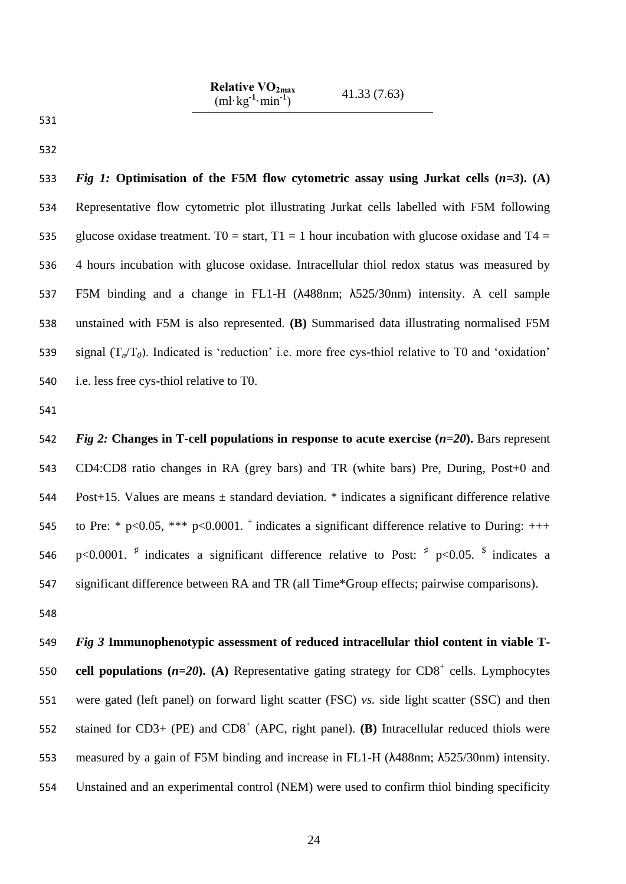| Relative $VO_{2max}$<br>$(ml \cdot kg^{-1} \cdot min^{-1})$ | 41.33(7.63) |
|-------------------------------------------------------------|-------------|
|-------------------------------------------------------------|-------------|

 *Fig 1:* **Optimisation of the F5M flow cytometric assay using Jurkat cells (***n=3***). (A)** Representative flow cytometric plot illustrating Jurkat cells labelled with F5M following 535 glucose oxidase treatment. T0 = start, T1 = 1 hour incubation with glucose oxidase and T4 = 4 hours incubation with glucose oxidase. Intracellular thiol redox status was measured by F5M binding and a change in FL1-H (λ488nm; λ525/30nm) intensity. A cell sample unstained with F5M is also represented. **(B)** Summarised data illustrating normalised F5M 539 signal  $(T_n/T_0)$ . Indicated is 'reduction' i.e. more free cys-thiol relative to T0 and 'oxidation' i.e. less free cys-thiol relative to T0.

 *Fig 2:* **Changes in T-cell populations in response to acute exercise (***n=20***).** Bars represent CD4:CD8 ratio changes in RA (grey bars) and TR (white bars) Pre, During, Post+0 and Post+15. Values are means ± standard deviation. \* indicates a significant difference relative 545 to Pre: \* p<0.05, \*\*\* p<0.0001.  $^+$  indicates a significant difference relative to During: +++ 546 p<0.0001. <sup>‡</sup> indicates a significant difference relative to Post:  $\frac{4}{7}$  p<0.05.  $\frac{3}{7}$  indicates a significant difference between RA and TR (all Time\*Group effects; pairwise comparisons).

 *Fig 3* **Immunophenotypic assessment of reduced intracellular thiol content in viable T-**550 cell populations  $(n=20)$ . (A) Representative gating strategy for  $CD8^+$  cells. Lymphocytes were gated (left panel) on forward light scatter (FSC) *vs.* side light scatter (SSC) and then 552 stained for  $CD3+ (PE)$  and  $CD8<sup>+</sup>$  (APC, right panel). **(B)** Intracellular reduced thiols were measured by a gain of F5M binding and increase in FL1-H (λ488nm; λ525/30nm) intensity. Unstained and an experimental control (NEM) were used to confirm thiol binding specificity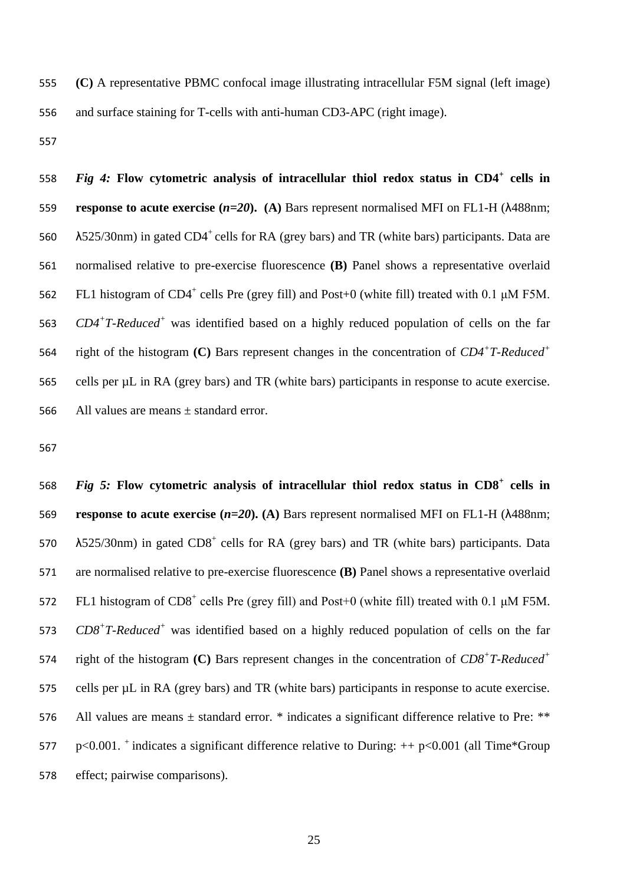555 **(C)** A representative PBMC confocal image illustrating intracellular F5M signal (left image) 556 and surface staining for T-cells with anti-human CD3-APC (right image).

557

*Fig 4:* **Flow cytometric analysis of intracellular thiol redox status in CD4<sup>+</sup>** 558 **cells in** 559 **response to acute exercise (***n=20***). (A)** Bars represent normalised MFI on FL1-H (λ488nm;  $\lambda$ 525/30nm) in gated CD4<sup>+</sup> cells for RA (grey bars) and TR (white bars) participants. Data are 561 normalised relative to pre-exercise fluorescence **(B)** Panel shows a representative overlaid 562 FL1 histogram of CD4<sup>+</sup> cells Pre (grey fill) and Post+0 (white fill) treated with 0.1 μM F5M. 563 *CD4<sup>+</sup>T-Reduced<sup>+</sup>* was identified based on a highly reduced population of cells on the far right of the histogram **(C)** Bars represent changes in the concentration of *CD4<sup>+</sup> T-Reduced<sup>+</sup>* 564 565 cells per µL in RA (grey bars) and TR (white bars) participants in response to acute exercise. 566 All values are means  $\pm$  standard error.

567

*Fig 5:* **Flow cytometric analysis of intracellular thiol redox status in CD8<sup>+</sup>** 568 **cells in** 569 **response to acute exercise (***n=20***). (A)** Bars represent normalised MFI on FL1-H (λ488nm; 570  $\lambda$ 525/30nm) in gated CD8<sup>+</sup> cells for RA (grey bars) and TR (white bars) participants. Data 571 are normalised relative to pre-exercise fluorescence **(B)** Panel shows a representative overlaid 572 FL1 histogram of  $CD8^+$  cells Pre (grey fill) and Post+0 (white fill) treated with 0.1 μM F5M. 573 *CD8<sup>+</sup>T-Reduced<sup>+</sup>* was identified based on a highly reduced population of cells on the far right of the histogram **(C)** Bars represent changes in the concentration of *CD8<sup>+</sup> T-Reduced<sup>+</sup>* 574 575 cells per µL in RA (grey bars) and TR (white bars) participants in response to acute exercise. 576 All values are means  $\pm$  standard error. \* indicates a significant difference relative to Pre: \*\* 577 p<0.001. <sup>+</sup> indicates a significant difference relative to During:  $++$  p<0.001 (all Time\*Group 578 effect; pairwise comparisons).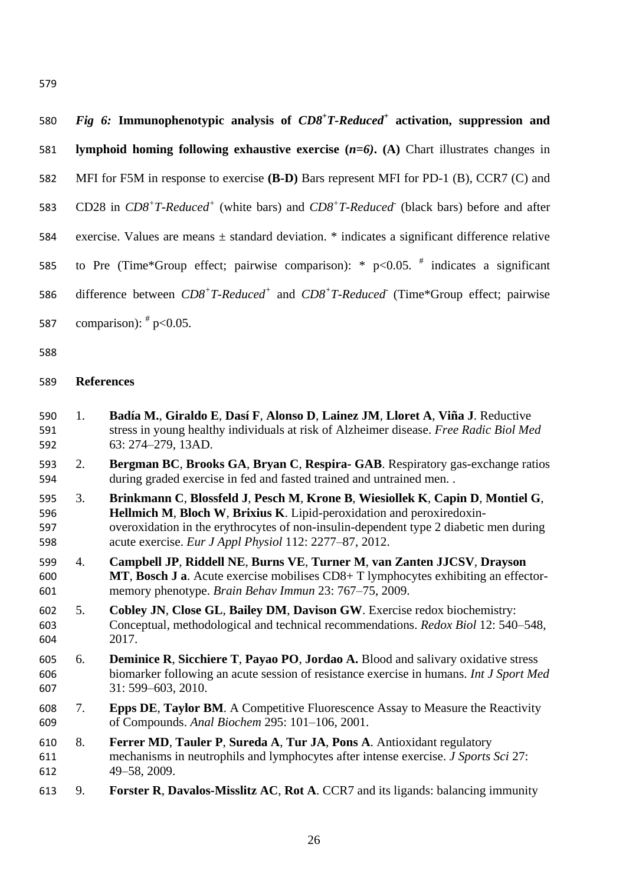| 580  | Fig 6: Immunophenotypic analysis of $CD8+T$ -Reduced <sup>+</sup> activation, suppression and           |
|------|---------------------------------------------------------------------------------------------------------|
| 581  | lymphoid homing following exhaustive exercise $(n=6)$ . (A) Chart illustrates changes in                |
| 582  | MFI for F5M in response to exercise (B-D) Bars represent MFI for PD-1 (B), CCR7 (C) and                 |
| 583  | CD28 in $CD8^+T$ -Reduced <sup>+</sup> (white bars) and $CD8^+T$ -Reduced (black bars) before and after |
| 584  | exercise. Values are means $\pm$ standard deviation. $*$ indicates a significant difference relative    |
| 585  | to Pre (Time*Group effect; pairwise comparison): * $p<0.05$ . # indicates a significant                 |
| 586  | difference between $CD8^+T$ -Reduced <sup>+</sup> and $CD8^+T$ -Reduced (Time*Group effect; pairwise    |
| 587  | comparison): $p^*$ p<0.05.                                                                              |
| roo. |                                                                                                         |

## **References**

- 1. **Badía M.**, **Giraldo E**, **Dasí F**, **Alonso D**, **Lainez JM**, **Lloret A**, **Viña J**. Reductive stress in young healthy individuals at risk of Alzheimer disease. *Free Radic Biol Med* 63: 274–279, 13AD.
- 2. **Bergman BC**, **Brooks GA**, **Bryan C**, **Respira- GAB**. Respiratory gas-exchange ratios during graded exercise in fed and fasted trained and untrained men. .
- 3. **Brinkmann C**, **Blossfeld J**, **Pesch M**, **Krone B**, **Wiesiollek K**, **Capin D**, **Montiel G**, **Hellmich M**, **Bloch W**, **Brixius K**. Lipid-peroxidation and peroxiredoxin- overoxidation in the erythrocytes of non-insulin-dependent type 2 diabetic men during acute exercise. *Eur J Appl Physiol* 112: 2277–87, 2012.
- 4. **Campbell JP**, **Riddell NE**, **Burns VE**, **Turner M**, **van Zanten JJCSV**, **Drayson MT**, **Bosch J a**. Acute exercise mobilises CD8+ T lymphocytes exhibiting an effector-memory phenotype. *Brain Behav Immun* 23: 767–75, 2009.
- 5. **Cobley JN**, **Close GL**, **Bailey DM**, **Davison GW**. Exercise redox biochemistry: Conceptual, methodological and technical recommendations. *Redox Biol* 12: 540–548, 2017.
- 6. **Deminice R**, **Sicchiere T**, **Payao PO**, **Jordao A.** Blood and salivary oxidative stress biomarker following an acute session of resistance exercise in humans. *Int J Sport Med* 31: 599–603, 2010.
- 7. **Epps DE**, **Taylor BM**. A Competitive Fluorescence Assay to Measure the Reactivity of Compounds. *Anal Biochem* 295: 101–106, 2001.
- 8. **Ferrer MD**, **Tauler P**, **Sureda A**, **Tur JA**, **Pons A**. Antioxidant regulatory mechanisms in neutrophils and lymphocytes after intense exercise. *J Sports Sci* 27: 49–58, 2009.
- 9. **Forster R**, **Davalos-Misslitz AC**, **Rot A**. CCR7 and its ligands: balancing immunity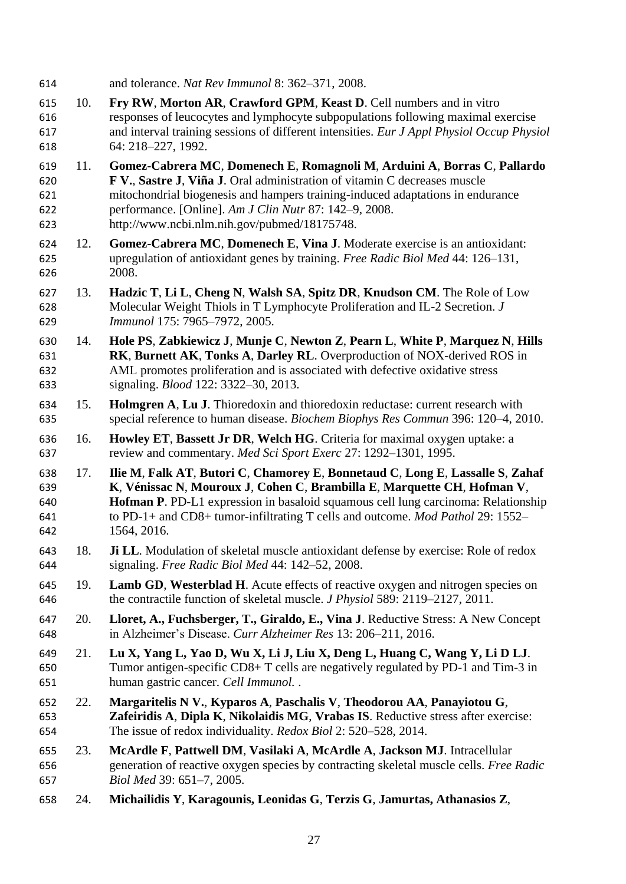- and tolerance. *Nat Rev Immunol* 8: 362–371, 2008.
- 10. **Fry RW**, **Morton AR**, **Crawford GPM**, **Keast D**. Cell numbers and in vitro responses of leucocytes and lymphocyte subpopulations following maximal exercise and interval training sessions of different intensities. *Eur J Appl Physiol Occup Physiol* 64: 218–227, 1992.
- 11. **Gomez-Cabrera MC**, **Domenech E**, **Romagnoli M**, **Arduini A**, **Borras C**, **Pallardo F V.**, **Sastre J**, **Viña J**. Oral administration of vitamin C decreases muscle mitochondrial biogenesis and hampers training-induced adaptations in endurance performance. [Online]. *Am J Clin Nutr* 87: 142–9, 2008. http://www.ncbi.nlm.nih.gov/pubmed/18175748.
- 12. **Gomez-Cabrera MC**, **Domenech E**, **Vina J**. Moderate exercise is an antioxidant: upregulation of antioxidant genes by training. *Free Radic Biol Med* 44: 126–131, 2008.
- 13. **Hadzic T**, **Li L**, **Cheng N**, **Walsh SA**, **Spitz DR**, **Knudson CM**. The Role of Low Molecular Weight Thiols in T Lymphocyte Proliferation and IL-2 Secretion. *J Immunol* 175: 7965–7972, 2005.
- 14. **Hole PS**, **Zabkiewicz J**, **Munje C**, **Newton Z**, **Pearn L**, **White P**, **Marquez N**, **Hills RK**, **Burnett AK**, **Tonks A**, **Darley RL**. Overproduction of NOX-derived ROS in AML promotes proliferation and is associated with defective oxidative stress signaling. *Blood* 122: 3322–30, 2013.
- 15. **Holmgren A**, **Lu J**. Thioredoxin and thioredoxin reductase: current research with special reference to human disease. *Biochem Biophys Res Commun* 396: 120–4, 2010.
- 16. **Howley ET**, **Bassett Jr DR**, **Welch HG**. Criteria for maximal oxygen uptake: a review and commentary. *Med Sci Sport Exerc* 27: 1292–1301, 1995.
- 17. **Ilie M**, **Falk AT**, **Butori C**, **Chamorey E**, **Bonnetaud C**, **Long E**, **Lassalle S**, **Zahaf K**, **Vénissac N**, **Mouroux J**, **Cohen C**, **Brambilla E**, **Marquette CH**, **Hofman V**, **Hofman P**. PD-L1 expression in basaloid squamous cell lung carcinoma: Relationship to PD-1+ and CD8+ tumor-infiltrating T cells and outcome. *Mod Pathol* 29: 1552– 1564, 2016.
- 18. **Ji LL**. Modulation of skeletal muscle antioxidant defense by exercise: Role of redox signaling. *Free Radic Biol Med* 44: 142–52, 2008.
- 19. **Lamb GD**, **Westerblad H**. Acute effects of reactive oxygen and nitrogen species on the contractile function of skeletal muscle. *J Physiol* 589: 2119–2127, 2011.
- 20. **Lloret, A., Fuchsberger, T., Giraldo, E., Vina J**. Reductive Stress: A New Concept in Alzheimer's Disease. *Curr Alzheimer Res* 13: 206–211, 2016.
- 21. **Lu X, Yang L, Yao D, Wu X, Li J, Liu X, Deng L, Huang C, Wang Y, Li D LJ**. Tumor antigen-specific CD8+ T cells are negatively regulated by PD-1 and Tim-3 in human gastric cancer. *Cell Immunol.* .
- 22. **Margaritelis N V.**, **Kyparos A**, **Paschalis V**, **Theodorou AA**, **Panayiotou G**, **Zafeiridis A**, **Dipla K**, **Nikolaidis MG**, **Vrabas IS**. Reductive stress after exercise: The issue of redox individuality. *Redox Biol* 2: 520–528, 2014.
- 23. **McArdle F**, **Pattwell DM**, **Vasilaki A**, **McArdle A**, **Jackson MJ**. Intracellular generation of reactive oxygen species by contracting skeletal muscle cells. *Free Radic Biol Med* 39: 651–7, 2005.
- 24. **Michailidis Y**, **Karagounis, Leonidas G**, **Terzis G**, **Jamurtas, Athanasios Z**,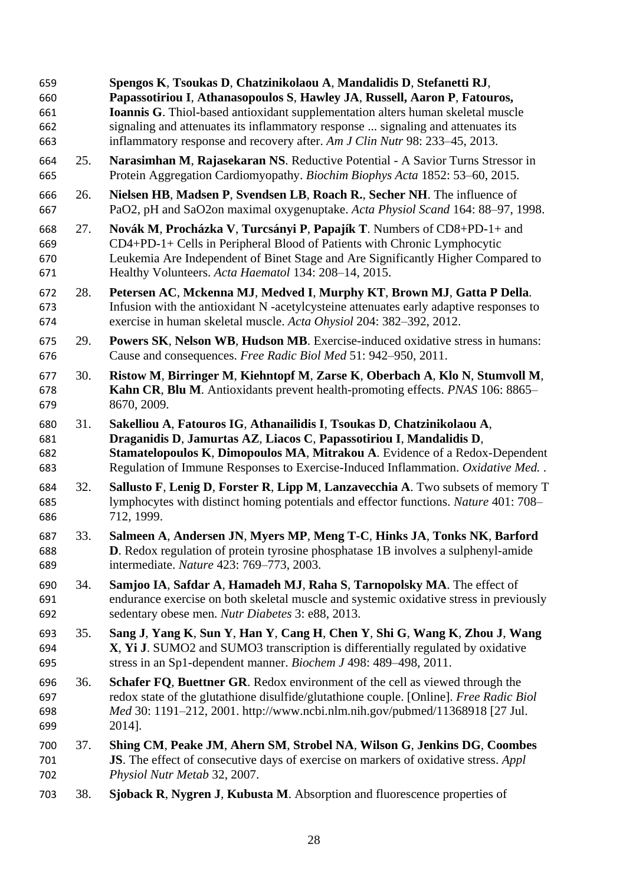**Spengos K**, **Tsoukas D**, **Chatzinikolaou A**, **Mandalidis D**, **Stefanetti RJ**, **Papassotiriou I**, **Athanasopoulos S**, **Hawley JA**, **Russell, Aaron P**, **Fatouros, Ioannis G**. Thiol-based antioxidant supplementation alters human skeletal muscle signaling and attenuates its inflammatory response ... signaling and attenuates its inflammatory response and recovery after. *Am J Clin Nutr* 98: 233–45, 2013. 25. **Narasimhan M**, **Rajasekaran NS**. Reductive Potential - A Savior Turns Stressor in Protein Aggregation Cardiomyopathy. *Biochim Biophys Acta* 1852: 53–60, 2015. 26. **Nielsen HB**, **Madsen P**, **Svendsen LB**, **Roach R.**, **Secher NH**. The influence of PaO2, pH and SaO2on maximal oxygenuptake. *Acta Physiol Scand* 164: 88–97, 1998. 27. **Novák M**, **Procházka V**, **Turcsányi P**, **Papajík T**. Numbers of CD8+PD-1+ and CD4+PD-1+ Cells in Peripheral Blood of Patients with Chronic Lymphocytic Leukemia Are Independent of Binet Stage and Are Significantly Higher Compared to Healthy Volunteers. *Acta Haematol* 134: 208–14, 2015. 28. **Petersen AC**, **Mckenna MJ**, **Medved I**, **Murphy KT**, **Brown MJ**, **Gatta P Della**. Infusion with the antioxidant N -acetylcysteine attenuates early adaptive responses to exercise in human skeletal muscle. *Acta Ohysiol* 204: 382–392, 2012. 29. **Powers SK**, **Nelson WB**, **Hudson MB**. Exercise-induced oxidative stress in humans: Cause and consequences. *Free Radic Biol Med* 51: 942–950, 2011. 30. **Ristow M**, **Birringer M**, **Kiehntopf M**, **Zarse K**, **Oberbach A**, **Klo N**, **Stumvoll M**, **Kahn CR**, **Blu M**. Antioxidants prevent health-promoting effects. *PNAS* 106: 8865– 8670, 2009. 31. **Sakelliou A**, **Fatouros IG**, **Athanailidis I**, **Tsoukas D**, **Chatzinikolaou A**, **Draganidis D**, **Jamurtas AZ**, **Liacos C**, **Papassotiriou I**, **Mandalidis D**, **Stamatelopoulos K**, **Dimopoulos MA**, **Mitrakou A**. Evidence of a Redox-Dependent Regulation of Immune Responses to Exercise-Induced Inflammation. *Oxidative Med.* . 32. **Sallusto F**, **Lenig D**, **Forster R**, **Lipp M**, **Lanzavecchia A**. Two subsets of memory T lymphocytes with distinct homing potentials and effector functions. *Nature* 401: 708– 712, 1999. 33. **Salmeen A**, **Andersen JN**, **Myers MP**, **Meng T-C**, **Hinks JA**, **Tonks NK**, **Barford D**. Redox regulation of protein tyrosine phosphatase 1B involves a sulphenyl-amide intermediate. *Nature* 423: 769–773, 2003. 34. **Samjoo IA**, **Safdar A**, **Hamadeh MJ**, **Raha S**, **Tarnopolsky MA**. The effect of endurance exercise on both skeletal muscle and systemic oxidative stress in previously sedentary obese men. *Nutr Diabetes* 3: e88, 2013. 35. **Sang J**, **Yang K**, **Sun Y**, **Han Y**, **Cang H**, **Chen Y**, **Shi G**, **Wang K**, **Zhou J**, **Wang X**, **Yi J**. SUMO2 and SUMO3 transcription is differentially regulated by oxidative stress in an Sp1-dependent manner. *Biochem J* 498: 489–498, 2011. 36. **Schafer FQ**, **Buettner GR**. Redox environment of the cell as viewed through the redox state of the glutathione disulfide/glutathione couple. [Online]. *Free Radic Biol Med* 30: 1191–212, 2001. http://www.ncbi.nlm.nih.gov/pubmed/11368918 [27 Jul. 2014]. 37. **Shing CM**, **Peake JM**, **Ahern SM**, **Strobel NA**, **Wilson G**, **Jenkins DG**, **Coombes JS**. The effect of consecutive days of exercise on markers of oxidative stress. *Appl Physiol Nutr Metab* 32, 2007. 38. **Sjoback R**, **Nygren J**, **Kubusta M**. Absorption and fluorescence properties of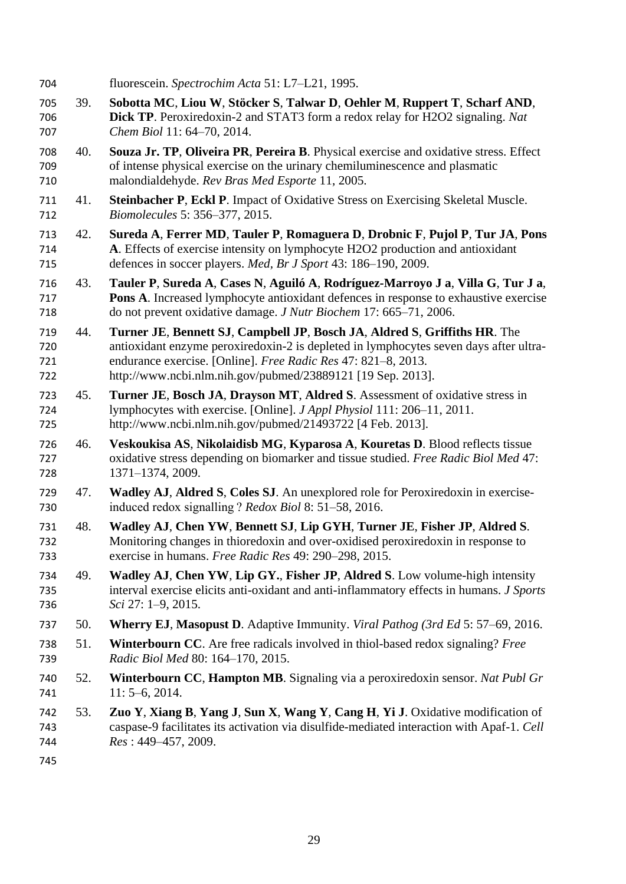fluorescein. *Spectrochim Acta* 51: L7–L21, 1995. 39. **Sobotta MC**, **Liou W**, **Stöcker S**, **Talwar D**, **Oehler M**, **Ruppert T**, **Scharf AND**, **Dick TP**. Peroxiredoxin-2 and STAT3 form a redox relay for H2O2 signaling. *Nat Chem Biol* 11: 64–70, 2014. 40. **Souza Jr. TP**, **Oliveira PR**, **Pereira B**. Physical exercise and oxidative stress. Effect of intense physical exercise on the urinary chemiluminescence and plasmatic malondialdehyde. *Rev Bras Med Esporte* 11, 2005. 41. **Steinbacher P**, **Eckl P**. Impact of Oxidative Stress on Exercising Skeletal Muscle. *Biomolecules* 5: 356–377, 2015. 42. **Sureda A**, **Ferrer MD**, **Tauler P**, **Romaguera D**, **Drobnic F**, **Pujol P**, **Tur JA**, **Pons A**. Effects of exercise intensity on lymphocyte H2O2 production and antioxidant defences in soccer players. *Med, Br J Sport* 43: 186–190, 2009. 43. **Tauler P**, **Sureda A**, **Cases N**, **Aguiló A**, **Rodríguez-Marroyo J a**, **Villa G**, **Tur J a**, **Pons A**. Increased lymphocyte antioxidant defences in response to exhaustive exercise do not prevent oxidative damage. *J Nutr Biochem* 17: 665–71, 2006. 44. **Turner JE**, **Bennett SJ**, **Campbell JP**, **Bosch JA**, **Aldred S**, **Griffiths HR**. The antioxidant enzyme peroxiredoxin-2 is depleted in lymphocytes seven days after ultra- endurance exercise. [Online]. *Free Radic Res* 47: 821–8, 2013. http://www.ncbi.nlm.nih.gov/pubmed/23889121 [19 Sep. 2013]. 45. **Turner JE**, **Bosch JA**, **Drayson MT**, **Aldred S**. Assessment of oxidative stress in lymphocytes with exercise. [Online]. *J Appl Physiol* 111: 206–11, 2011. http://www.ncbi.nlm.nih.gov/pubmed/21493722 [4 Feb. 2013]. 46. **Veskoukisa AS**, **Nikolaidisb MG**, **Kyparosa A**, **Kouretas D**. Blood reflects tissue oxidative stress depending on biomarker and tissue studied. *Free Radic Biol Med* 47: 1371–1374, 2009. 47. **Wadley AJ**, **Aldred S**, **Coles SJ**. An unexplored role for Peroxiredoxin in exercise- induced redox signalling ? *Redox Biol* 8: 51–58, 2016. 48. **Wadley AJ**, **Chen YW**, **Bennett SJ**, **Lip GYH**, **Turner JE**, **Fisher JP**, **Aldred S**. Monitoring changes in thioredoxin and over-oxidised peroxiredoxin in response to exercise in humans. *Free Radic Res* 49: 290–298, 2015. 49. **Wadley AJ**, **Chen YW**, **Lip GY.**, **Fisher JP**, **Aldred S**. Low volume-high intensity interval exercise elicits anti-oxidant and anti-inflammatory effects in humans. *J Sports Sci* 27: 1–9, 2015. 50. **Wherry EJ**, **Masopust D**. Adaptive Immunity. *Viral Pathog (3rd Ed* 5: 57–69, 2016. 51. **Winterbourn CC**. Are free radicals involved in thiol-based redox signaling? *Free Radic Biol Med* 80: 164–170, 2015. 52. **Winterbourn CC**, **Hampton MB**. Signaling via a peroxiredoxin sensor. *Nat Publ Gr* 741 11: 5–6, 2014. 53. **Zuo Y**, **Xiang B**, **Yang J**, **Sun X**, **Wang Y**, **Cang H**, **Yi J**. Oxidative modification of caspase-9 facilitates its activation via disulfide-mediated interaction with Apaf-1. *Cell Res* : 449–457, 2009.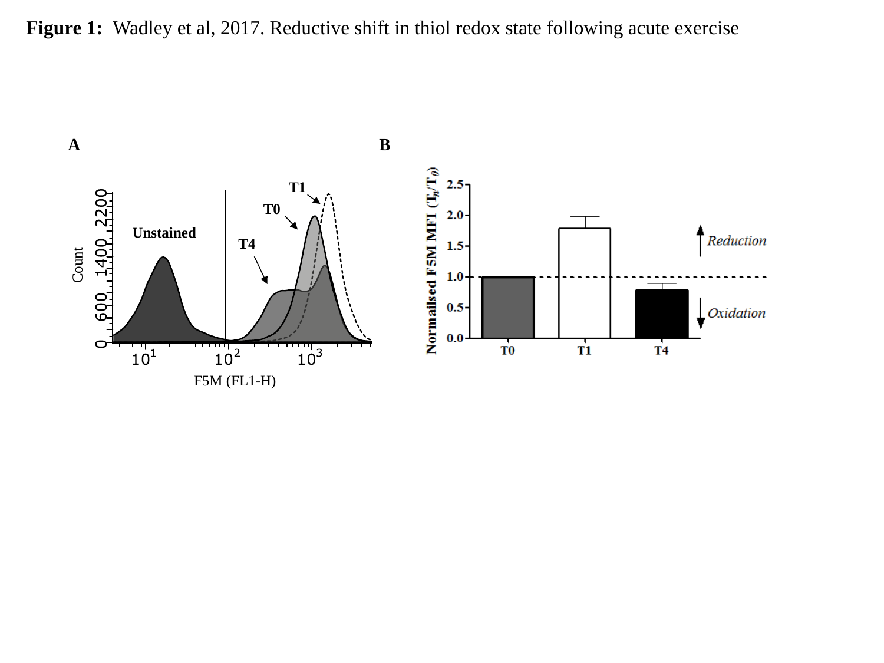Figure 1: Wadley et al, 2017. Reductive shift in thiol redox state following acute exercise

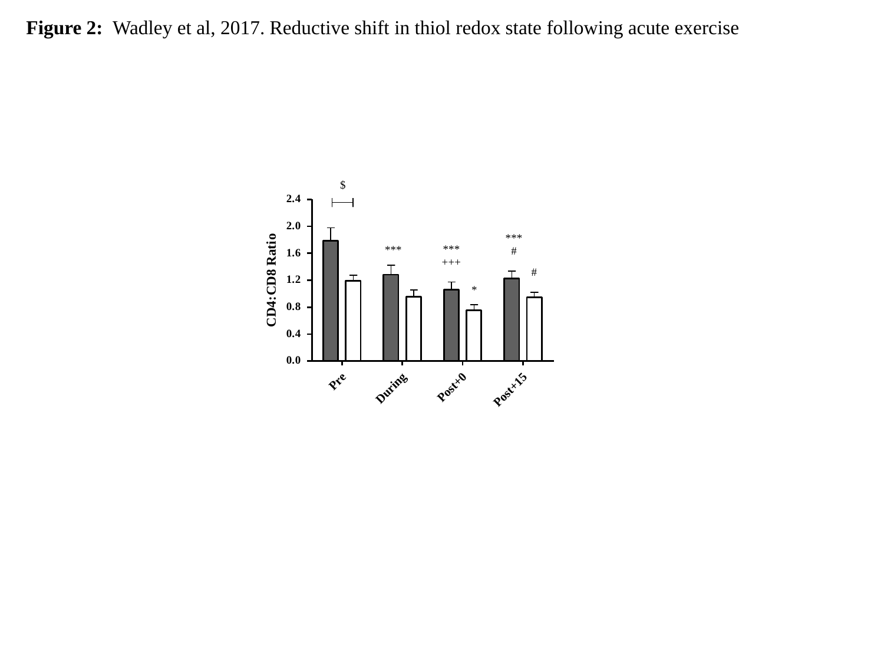**Figure 2:** Wadley et al, 2017. Reductive shift in thiol redox state following acute exercise

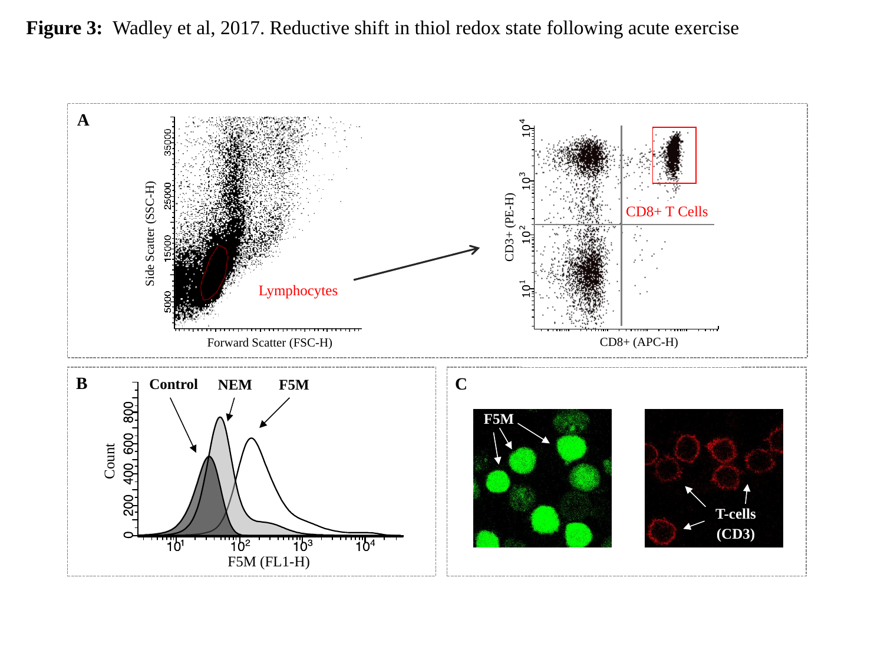**Figure 3:** Wadley et al, 2017. Reductive shift in thiol redox state following acute exercise

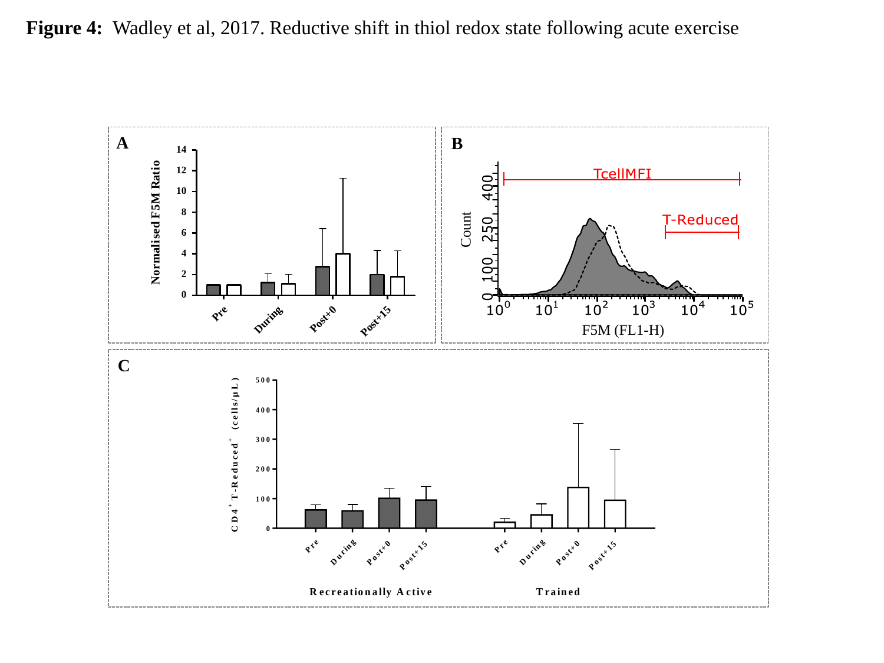

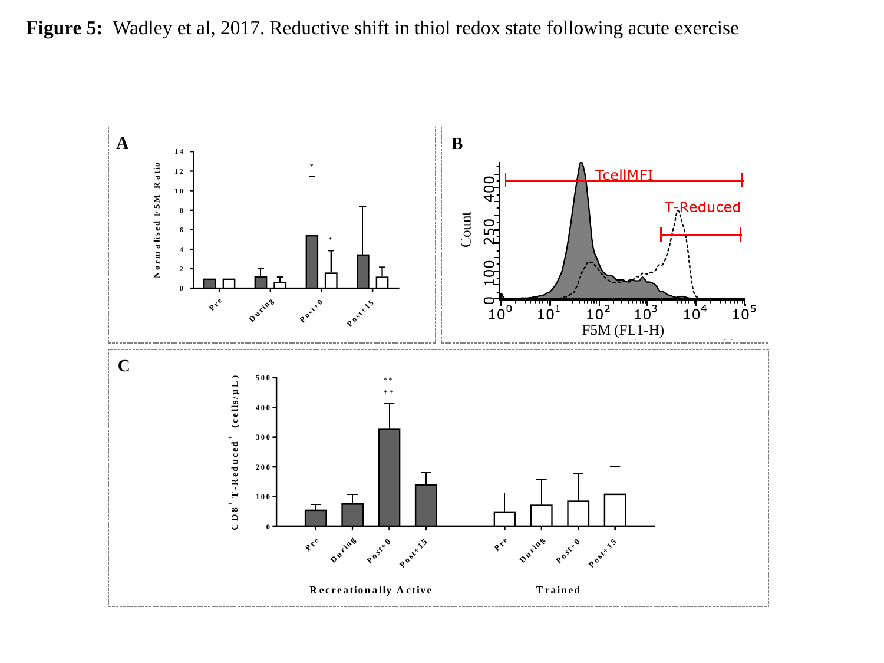**Figure 5:** Wadley et al, 2017. Reductive shift in thiol redox state following acute exercise